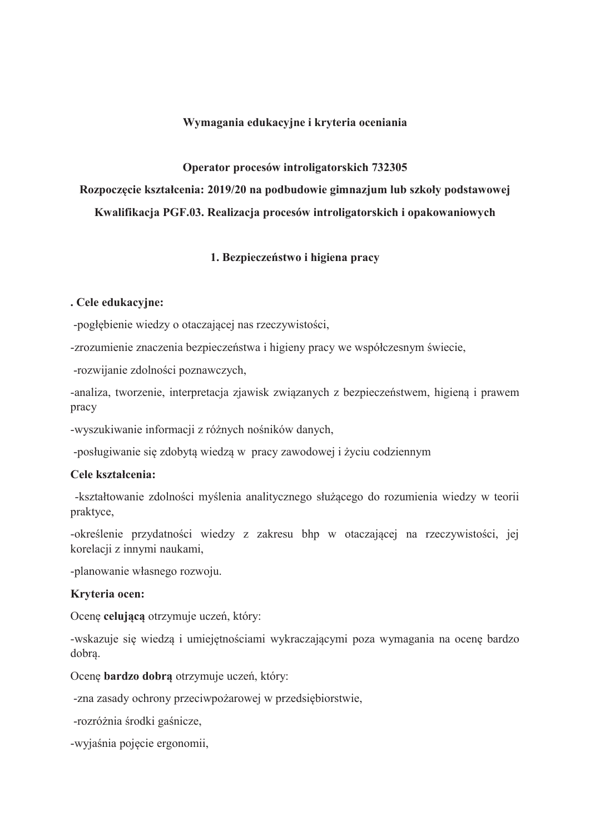### Wymagania edukacyjne i kryteria oceniania

Operator procesów introligatorskich 732305

Rozpoczęcie kształcenia: 2019/20 na podbudowie gimnazjum lub szkoły podstawowej Kwalifikacja PGF.03. Realizacja procesów introligatorskich i opakowaniowych

### 1. Bezpieczeństwo i higiena pracy

#### . Cele edukacyjne:

-pogłębienie wiedzy o otaczającej nas rzeczywistości,

-zrozumienie znaczenia bezpieczeństwa i higieny pracy we współczesnym świecie,

-rozwijanie zdolności poznawczych,

-analiza, tworzenie, interpretacja zjawisk związanych z bezpieczeństwem, higieną i prawem pracy

-wyszukiwanie informacji z różnych nośników danych,

-posługiwanie się zdobytą wiedzą w pracy zawodowej i życiu codziennym

### Cele kształcenia:

-kształtowanie zdolności myślenia analitycznego służacego do rozumienia wiedzy w teorii praktyce,

-określenie przydatności wiedzy z zakresu bhp w otaczającej na rzeczywistości, jej korelacji z innymi naukami,

-planowanie własnego rozwoju.

### Kryteria ocen:

Ocenę celującą otrzymuje uczeń, który:

-wskazuje się wiedzą i umiejętnościami wykraczającymi poza wymagania na ocenę bardzo dobra.

Ocenę bardzo dobrą otrzymuje uczeń, który:

-zna zasady ochrony przeciwpożarowej w przedsiębiorstwie,

-rozróżnia środki gaśnicze,

-wviaśnia pojecie ergonomii.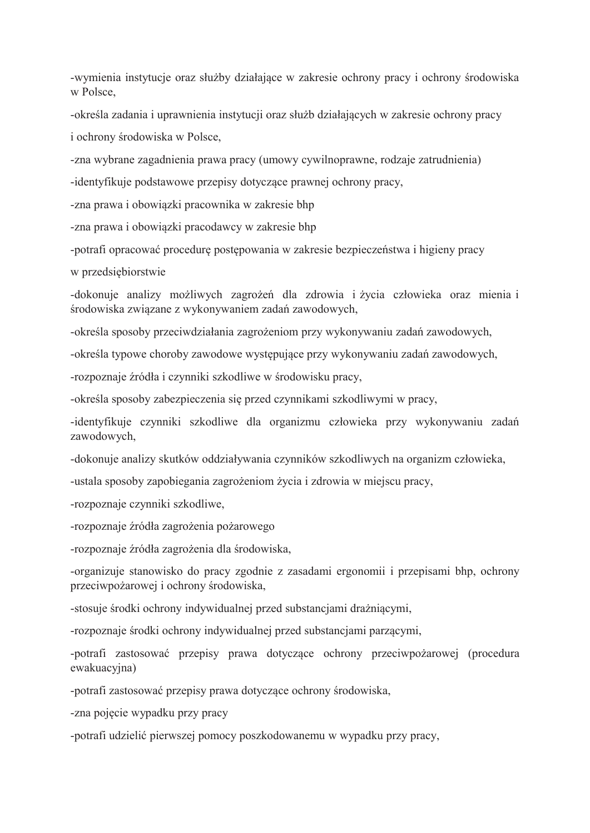-wymienia instytucje oraz służby działające w zakresie ochrony pracy i ochrony środowiska w Polsce.

-określa zadania i uprawnienia instytucji oraz służb działających w zakresie ochrony pracy

i ochrony środowiska w Polsce,

-zna wybrane zagadnienia prawa pracy (umowy cywilnoprawne, rodzaje zatrudnienia)

-identyfikuje podstawowe przepisy dotyczące prawnej ochrony pracy,

-zna prawa i obowiazki pracownika w zakresie bhp

-zna prawa i obowiązki pracodawcy w zakresie bhp

-potrafi opracować procedurę postępowania w zakresie bezpieczeństwa i higieny pracy

w przedsiębiorstwie

-dokonuje analizy możliwych zagrożeń dla zdrowia i życia człowieka oraz mienia i środowiska związane z wykonywaniem zadań zawodowych,

-określa sposoby przeciwdziałania zagrożeniom przy wykonywaniu zadań zawodowych,

-określa typowe choroby zawodowe występujące przy wykonywaniu zadań zawodowych,

-rozpoznaje źródła i czynniki szkodliwe w środowisku pracy,

-określa sposoby zabezpieczenia się przed czynnikami szkodliwymi w pracy,

-identyfikuje czynniki szkodliwe dla organizmu człowieka przy wykonywaniu zadań zawodowych,

-dokonuje analizy skutków oddziaływania czynników szkodliwych na organizm człowieka,

-ustala sposoby zapobiegania zagrożeniom życia i zdrowia w miejscu pracy,

-rozpoznaje czynniki szkodliwe.

-rozpoznaje źródła zagrożenia pożarowego

-rozpoznaje źródła zagrożenia dla środowiska,

-organizuje stanowisko do pracy zgodnie z zasadami ergonomii i przepisami bhp, ochrony przeciwpożarowej i ochrony środowiska,

-stosuje środki ochrony indywidualnej przed substancjami drażniącymi,

-rozpoznaje środki ochrony indywidualnej przed substancjami parzącymi,

-potrafi zastosować przepisy prawa dotyczące ochrony przeciwpożarowej (procedura ewakuacyjna)

-potrafi zastosować przepisy prawa dotyczące ochrony środowiska,

-zna pojęcie wypadku przy pracy

-potrafi udzielić pierwszej pomocy poszkodowanemu w wypadku przy pracy,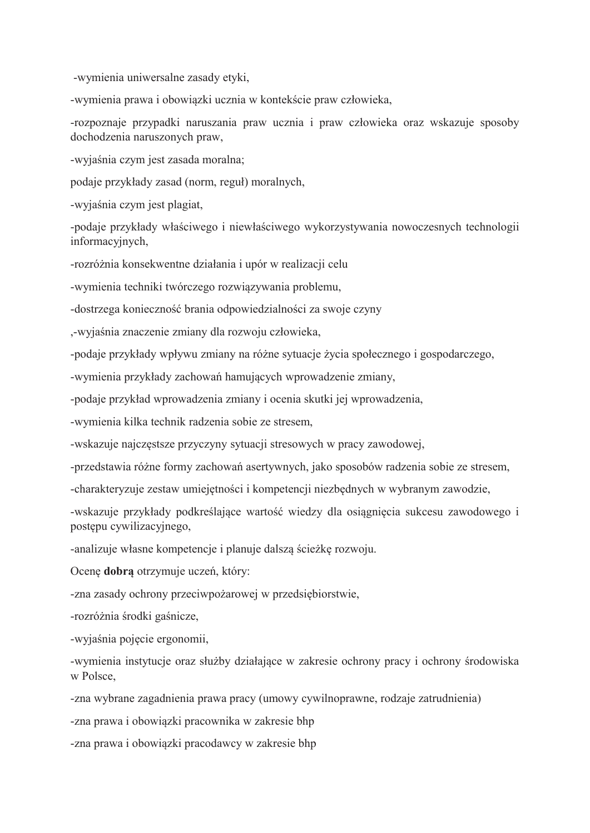-wymienia uniwersalne zasady etyki,

-wymienia prawa i obowiązki ucznia w kontekście praw człowieka,

-rozpoznaje przypadki naruszania praw ucznia i praw człowieka oraz wskazuje sposoby dochodzenia naruszonych praw,

-wyjaśnia czym jest zasada moralna;

podaje przykłady zasad (norm, reguł) moralnych,

-wyjaśnia czym jest plagiat,

-podaje przykłady właściwego i niewłaściwego wykorzystywania nowoczesnych technologii informacyjnych,

-rozróżnia konsekwentne działania i upór w realizacji celu

-wymienia techniki twórczego rozwiązywania problemu,

-dostrzega konieczność brania odpowiedzialności za swoje czyny

,-wyjaśnia znaczenie zmiany dla rozwoju człowieka,

-podaje przykłady wpływu zmiany na różne sytuacje życia społecznego i gospodarczego,

-wymienia przykłady zachowań hamujących wprowadzenie zmiany,

-podaje przykład wprowadzenia zmiany i ocenia skutki jej wprowadzenia,

-wymienia kilka technik radzenia sobie ze stresem,

-wskazuje najczęstsze przyczyny sytuacji stresowych w pracy zawodowej,

-przedstawia różne formy zachowań asertywnych, jako sposobów radzenia sobie ze stresem,

-charakteryzuje zestaw umiejętności i kompetencji niezbędnych w wybranym zawodzie,

-wskazuje przykłady podkreślające wartość wiedzy dla osiągnięcia sukcesu zawodowego i postępu cywilizacyjnego,

-analizuje własne kompetencje i planuje dalszą ścieżkę rozwoju.

Ocene dobra otrzymuje uczeń, który:

-zna zasady ochrony przeciwpożarowej w przedsiębiorstwie,

-rozróżnia środki gaśnicze,

-wyjaśnia pojęcie ergonomii,

-wymienia instytucje oraz służby działające w zakresie ochrony pracy i ochrony środowiska w Polsce.

-zna wybrane zagadnienia prawa pracy (umowy cywilnoprawne, rodzaje zatrudnienia)

-zna prawa i obowiązki pracownika w zakresie bhp

-zna prawa i obowiazki pracodawcy w zakresie bhp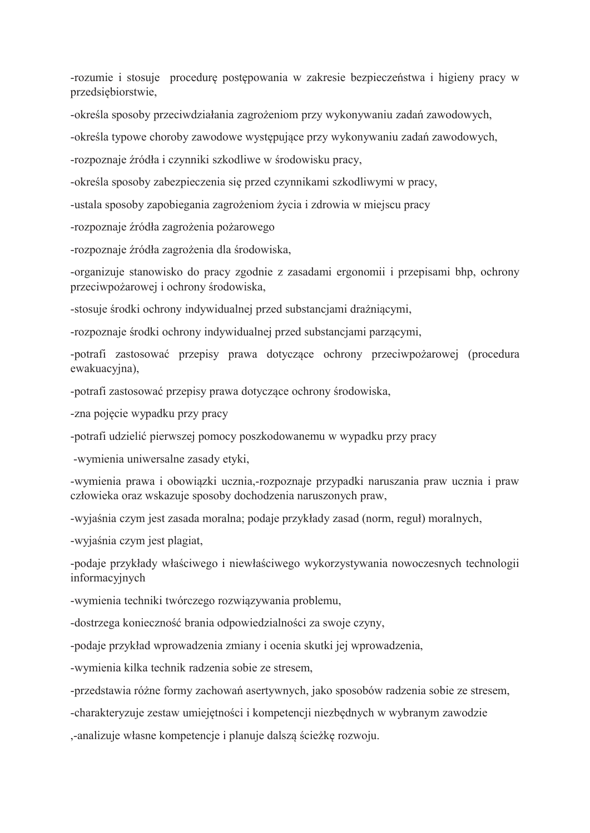-rozumie i stosuje procedurę postępowania w zakresie bezpieczeństwa i higieny pracy w przedsiębiorstwie,

-określa sposoby przeciwdziałania zagrożeniom przy wykonywaniu zadań zawodowych,

-określa typowe choroby zawodowe występujące przy wykonywaniu zadań zawodowych,

-rozpoznaje źródła i czynniki szkodliwe w środowisku pracy,

-określa sposoby zabezpieczenia się przed czynnikami szkodliwymi w pracy,

-ustala sposoby zapobiegania zagrożeniom życia i zdrowia w miejscu pracy

-rozpoznaje źródła zagrożenia pożarowego

-rozpoznaje źródła zagrożenia dla środowiska,

-organizuje stanowisko do pracy zgodnie z zasadami ergonomii i przepisami bhp, ochrony przeciwpożarowej i ochrony środowiska,

-stosuje środki ochrony indywidualnej przed substancjami drażniacymi,

-rozpoznaje środki ochrony indywidualnej przed substanciami parzącymi.

-potrafi zastosować przepisy prawa dotyczące ochrony przeciwpożarowej (procedura ewakuacyjna),

-potrafi zastosować przepisy prawa dotyczące ochrony środowiska,

-zna pojęcie wypadku przy pracy

-potrafi udzielić pierwszej pomocy poszkodowanemu w wypadku przy pracy

-wymienia uniwersalne zasady etyki,

-wymienia prawa i obowiązki ucznia,-rozpoznaje przypadki naruszania praw ucznia i praw człowieka oraz wskazuje sposoby dochodzenia naruszonych praw,

-wyjaśnia czym jest zasada moralna; podaje przykłady zasad (norm, reguł) moralnych,

-wviaśnia czym jest plagiat.

-podaje przykłady właściwego i niewłaściwego wykorzystywania nowoczesnych technologii informacyjnych

-wymienia techniki twórczego rozwiązywania problemu,

-dostrzega konieczność brania odpowiedzialności za swoje czyny,

-podaje przykład wprowadzenia zmiany i ocenia skutki jej wprowadzenia,

-wymienia kilka technik radzenia sobie ze stresem,

-przedstawia różne formy zachowań asertywnych, jako sposobów radzenia sobie ze stresem,

-charakteryzuje zestaw umiejętności i kompetencji niezbędnych w wybranym zawodzie

,-analizuje własne kompetencje i planuje dalszą ścieżkę rozwoju.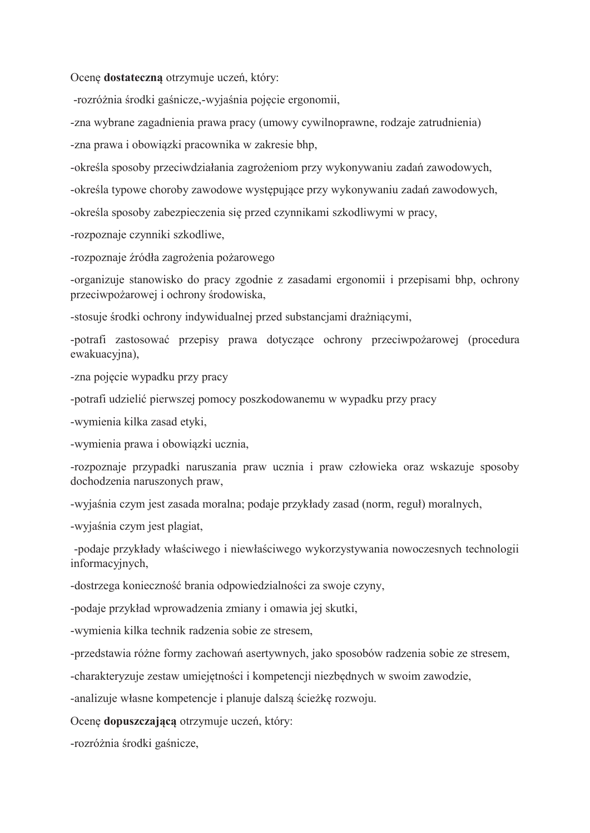Ocenę dostateczną otrzymuje uczeń, który:

-rozróżnia środki gaśnicze, wyjaśnia pojęcie ergonomii,

-zna wybrane zagadnienia prawa pracy (umowy cywilnoprawne, rodzaje zatrudnienia)

-zna prawa i obowiązki pracownika w zakresie bhp,

-określa sposoby przeciwdziałania zagrożeniom przy wykonywaniu zadań zawodowych,

-określa typowe choroby zawodowe występujące przy wykonywaniu zadań zawodowych,

-określa sposoby zabezpieczenia się przed czynnikami szkodliwymi w pracy,

-rozpoznaje czynniki szkodliwe,

-rozpoznaje źródła zagrożenia pożarowego

-organizuje stanowisko do pracy zgodnie z zasadami ergonomii i przepisami bhp, ochrony przeciwpożarowej i ochrony środowiska,

-stosuje środki ochrony indywidualnej przed substancjami drażniącymi,

-potrafi zastosować przepisy prawa dotyczące ochrony przeciwpożarowej (procedura ewakuacyjna),

-zna pojęcie wypadku przy pracy

-potrafi udzielić pierwszej pomocy poszkodowanemu w wypadku przy pracy

-wymienia kilka zasad etyki,

-wymienia prawa i obowiązki ucznia,

-rozpoznaje przypadki naruszania praw ucznia i praw człowieka oraz wskazuje sposoby dochodzenia naruszonych praw,

-wyjaśnia czym jest zasada moralna; podaje przykłady zasad (norm, reguł) moralnych,

-wyjaśnia czym jest plagiat,

-podaje przykłady właściwego i niewłaściwego wykorzystywania nowoczesnych technologii informacyjnych,

-dostrzega konieczność brania odpowiedzialności za swoje czyny,

-podaje przykład wprowadzenia zmiany i omawia jej skutki,

-wymienia kilka technik radzenia sobie ze stresem,

-przedstawia różne formy zachowań asertywnych, jako sposobów radzenia sobie ze stresem,

-charakteryzuje zestaw umiejętności i kompetencji niezbędnych w swoim zawodzie,

-analizuje własne kompetencje i planuje dalszą ścieżkę rozwoju.

Ocene dopuszczająca otrzymuje uczeń, który:

-rozróżnia środki gaśnicze.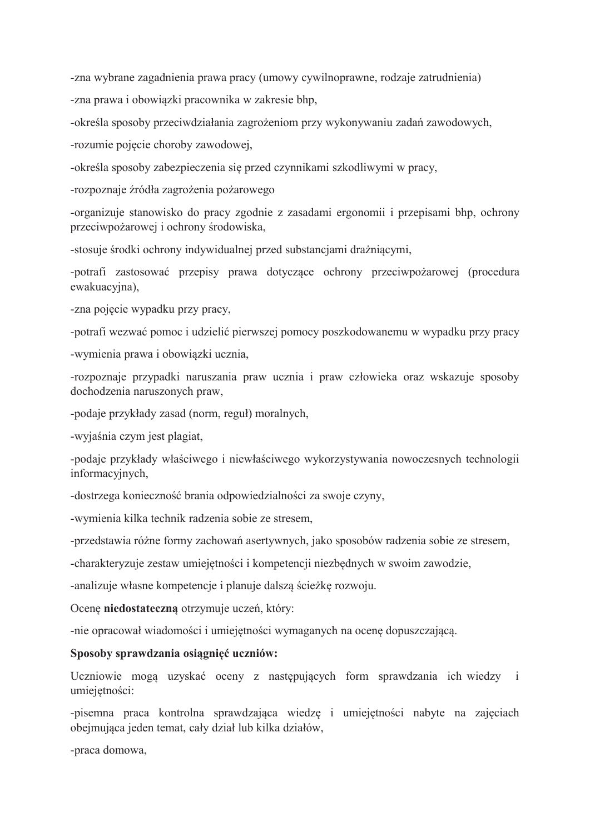-zna wybrane zagadnienia prawa pracy (umowy cywilnoprawne, rodzaje zatrudnienia) -zna prawa i obowiązki pracownika w zakresie bhp,

-określa sposoby przeciwdziałania zagrożeniom przy wykonywaniu zadań zawodowych,

-rozumie pojęcie choroby zawodowej,

-określa sposoby zabezpieczenia się przed czynnikami szkodliwymi w pracy,

-rozpoznaje źródła zagrożenia pożarowego

-organizuje stanowisko do pracy zgodnie z zasadami ergonomii i przepisami bhp, ochrony przeciwpożarowej i ochrony środowiska,

-stosuje środki ochrony indywidualnej przed substancjami drażniącymi,

-potrafi zastosować przepisy prawa dotyczące ochrony przeciwpożarowej (procedura ewakuacyjna),

-zna pojęcie wypadku przy pracy,

-potrafi wezwać pomoc i udzielić pierwszej pomocy poszkodowanemu w wypadku przy pracy

-wymienia prawa i obowiązki ucznia,

-rozpoznaje przypadki naruszania praw ucznia i praw człowieka oraz wskazuje sposoby dochodzenia naruszonych praw,

-podaje przykłady zasad (norm, reguł) moralnych,

-wyjaśnia czym jest plagiat,

-podaje przykłady właściwego i niewłaściwego wykorzystywania nowoczesnych technologii informacyjnych,

-dostrzega konieczność brania odpowiedzialności za swoje czyny,

-wymienia kilka technik radzenia sobie ze stresem,

-przedstawia różne formy zachowań asertywnych, jako sposobów radzenia sobie ze stresem,

-charakteryzuje zestaw umiejętności i kompetencji niezbędnych w swoim zawodzie,

-analizuje własne kompetencje i planuje dalszą ścieżkę rozwoju.

Ocenę niedostateczną otrzymuje uczeń, który:

-nie opracował wiadomości i umiejętności wymaganych na ocenę dopuszczającą.

### Sposoby sprawdzania osiągnięć uczniów:

Uczniowie mogą uzyskać oceny z następujących form sprawdzania ich wiedzy i umiejętności:

-pisemna praca kontrolna sprawdzająca wiedzę i umiejętności nabyte na zajęciach obejmująca jeden temat, cały dział lub kilka działów,

-praca domowa.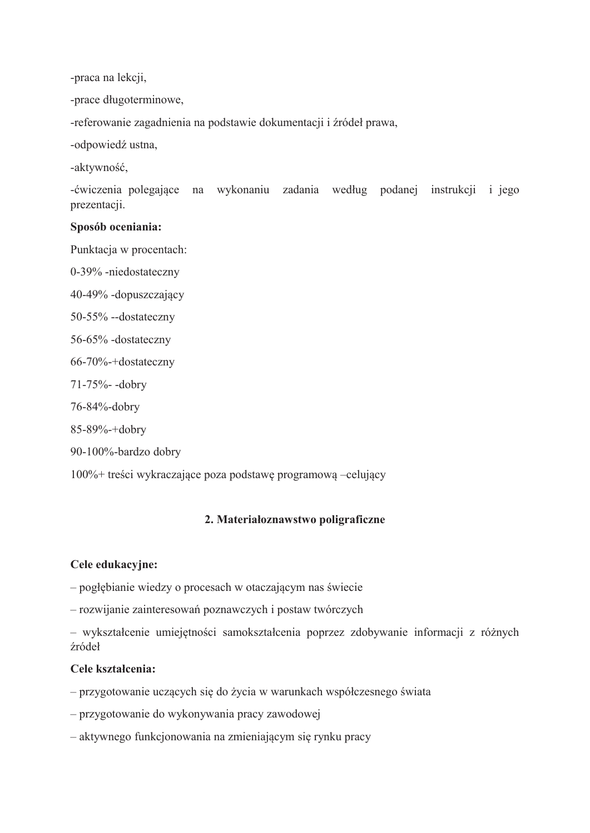-praca na lekcji,

-prace długoterminowe,

-referowanie zagadnienia na podstawie dokumentacji i źródeł prawa,

-odpowiedź ustna,

-aktywność,

-ćwiczenia polegające na wykonaniu zadania według podanej instrukcji i jego prezentacji.

### Sposób oceniania:

Punktacja w procentach:

0-39% -niedostateczny 40-49% -dopuszczający 50-55% --dostateczny 56-65% -dostateczny 66-70%-+dostateczny 71-75%-dobry 76-84%-dobry 85-89%-+dobry

90-100%-bardzo dobry

100%+ treści wykraczające poza podstawę programową –celujący

### 2. Materiałoznawstwo poligraficzne

### Cele edukacyjne:

- pogłębianie wiedzy o procesach w otaczającym nas świecie

- rozwijanie zainteresowań poznawczych i postaw twórczych

- wykształcenie umiejętności samokształcenia poprzez zdobywanie informacji z różnych źródeł

#### Cele kształcenia:

- przygotowanie uczących się do życia w warunkach współczesnego świata

- przygotowanie do wykonywania pracy zawodowej

– aktywnego funkcjonowania na zmieniającym się rynku pracy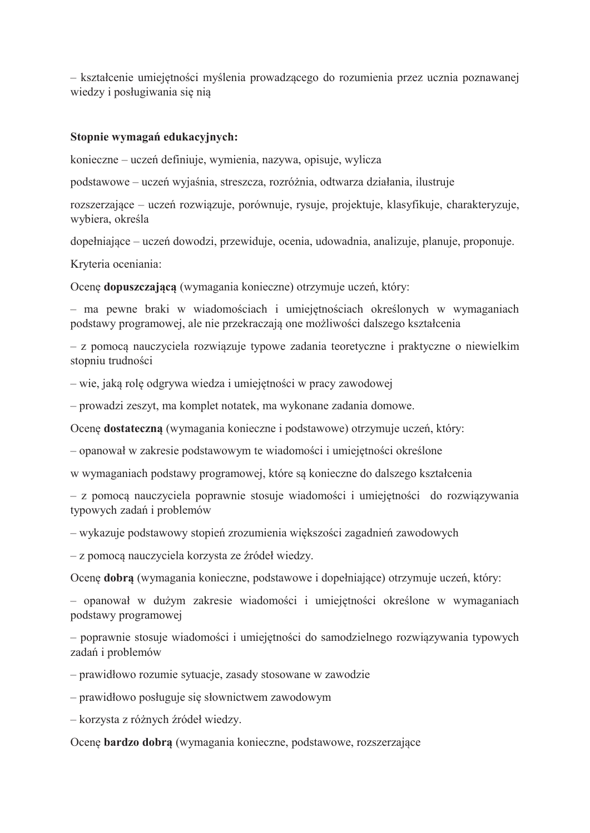- kształcenie umiejętności myślenia prowadzącego do rozumienia przez ucznia poznawanej wiedzy i posługiwania się nią

### Stopnie wymagań edukacyjnych:

konieczne – uczeń definiuje, wymienia, nazywa, opisuje, wylicza

podstawowe – uczeń wyjaśnia, streszcza, rozróżnia, odtwarza działania, ilustruje

rozszerzające – uczeń rozwiązuje, porównuje, rysuje, projektuje, klasyfikuje, charakteryzuje, wybiera, określa

dopełniające – uczeń dowodzi, przewiduje, ocenia, udowadnia, analizuje, planuje, proponuje.

Kryteria oceniania:

Ocene dopuszczającą (wymagania konieczne) otrzymuje uczeń, który:

- ma pewne braki w wiadomościach i umiejętnościach określonych w wymaganiach podstawy programowej, ale nie przekraczają one możliwości dalszego kształcenia

- z pomocą nauczyciela rozwiązuje typowe zadania teoretyczne i praktyczne o niewielkim stopniu trudności

– wie, jaką rolę odgrywa wiedza i umiejętności w pracy zawodowej

- prowadzi zeszyt, ma komplet notatek, ma wykonane zadania domowe.

Ocenę dostateczną (wymagania konieczne i podstawowe) otrzymuje uczeń, który:

- opanował w zakresie podstawowym te wiadomości i umiejętności określone

w wymaganiach podstawy programowej, które są konieczne do dalszego kształcenia

- z pomocą nauczyciela poprawnie stosuje wiadomości i umiejętności do rozwiązywania typowych zadań i problemów

– wykazuje podstawowy stopień zrozumienia większości zagadnień zawodowych

- z pomocą nauczyciela korzysta ze źródeł wiedzy.

Ocene dobra (wymagania konieczne, podstawowe i dopełniające) otrzymuje uczeń, który:

- opanował w dużym zakresie wiadomości i umiejętności określone w wymaganiach podstawy programowej

- poprawnie stosuje wiadomości i umiejętności do samodzielnego rozwiązywania typowych zadań i problemów

- prawidłowo rozumie sytuacje, zasady stosowane w zawodzie

- prawidłowo posługuje się słownictwem zawodowym

- korzysta z różnych źródeł wiedzy.

Ocenę bardzo dobrą (wymagania konieczne, podstawowe, rozszerzające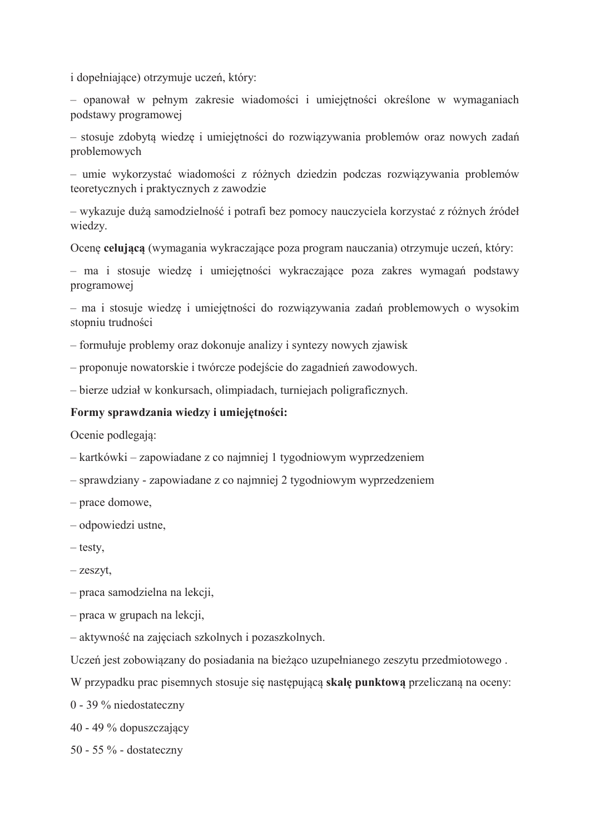i dopełniające) otrzymuje uczeń, który:

- opanował w pełnym zakresie wiadomości i umiejętności określone w wymaganiach podstawy programowej

- stosuje zdobyta wiedze i umiejętności do rozwiązywania problemów oraz nowych zadań problemowych

- umie wykorzystać wiadomości z różnych dziedzin podczas rozwiązywania problemów teoretycznych i praktycznych z zawodzie

– wykazuje duża samodzielność i potrafi bez pomocy nauczyciela korzystać z różnych źródeł wiedzy.

Ocenę celującą (wymagania wykraczające poza program nauczania) otrzymuje uczeń, który:

- ma i stosuje wiedzę i umiejętności wykraczające poza zakres wymagań podstawy programowej

- ma i stosuje wiedzę i umiejętności do rozwiązywania zadań problemowych o wysokim stopniu trudności

- formułuje problemy oraz dokonuje analizy i syntezy nowych zjawisk

- proponuje nowatorskie i twórcze podejście do zagadnień zawodowych.

- bierze udział w konkursach, olimpiadach, turniejach poligraficznych.

### Formy sprawdzania wiedzy i umiejętności:

Ocenie podlegają:

- kartkówki zapowiadane z co najmniej 1 tygodniowym wyprzedzeniem
- sprawdziany zapowiadane z co najmniej 2 tygodniowym wyprzedzeniem
- prace domowe,
- odpowiedzi ustne,
- $-$  testy.
- $-$  zeszyt,

- praca samodzielna na lekcji,

- $-$  praca w grupach na lekcji,
- aktywność na zajęciach szkolnych i pozaszkolnych.

Uczeń jest zobowiązany do posiadania na bieżąco uzupełnianego zeszytu przedmiotowego.

W przypadku prac pisemnych stosuje się następującą skalę punktową przeliczaną na oceny:

 $0 - 39$  % niedostateczny

40 - 49 % dopuszczający

50 - 55  $\%$  - dostateczny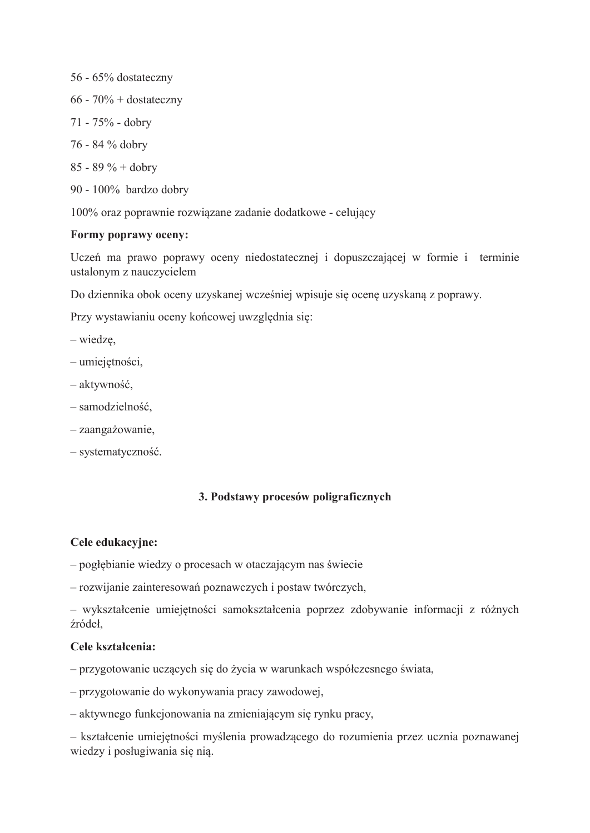56 - 65% dostateczny

- $66 70\% + \text{dostateczny}$
- 71 75% dobry
- 76 84 % dobry
- 85 89 % + dobry
- 90 100% bardzo dobry

100% oraz poprawnie rozwiązane zadanie dodatkowe - celujący

### Formy poprawy oceny:

Uczeń ma prawo poprawy oceny niedostatecznej i dopuszczającej w formie i terminie ustalonym z nauczycielem

Do dziennika obok oceny uzyskanej wcześniej wpisuje się ocenę uzyskaną z poprawy.

Przy wystawianiu oceny końcowej uwzględnia się:

- $-$  wiedze,
- umiejętności,
- aktywność,
- samodzielność,
- zaangażowanie.
- systematyczność.

## 3. Podstawy procesów poligraficznych

### Cele edukacyjne:

- pogłębianie wiedzy o procesach w otaczającym nas świecie
- rozwijanie zainteresowań poznawczych i postaw twórczych,

- wykształcenie umiejętności samokształcenia poprzez zdobywanie informacji z różnych źródeł,

### Cele kształcenia:

- przygotowanie uczących się do życia w warunkach współczesnego świata,

- przygotowanie do wykonywania pracy zawodowej,
- aktywnego funkcjonowania na zmieniającym się rynku pracy,

- kształcenie umiejętności myślenia prowadzącego do rozumienia przez ucznia poznawanej wiedzy i posługiwania się nią.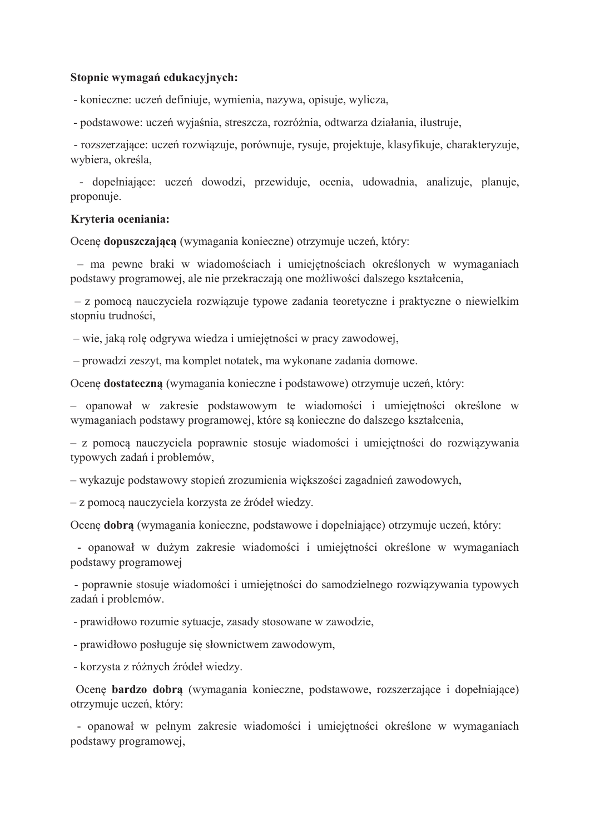#### Stopnie wymagań edukacyjnych:

- konieczne: uczeń definiuje, wymienia, nazywa, opisuje, wylicza,

- podstawowe: uczeń wyjaśnia, streszcza, rozróżnia, odtwarza działania, ilustruje,

- rozszerzające: uczeń rozwiązuje, porównuje, rysuje, projektuje, klasyfikuje, charakteryzuje, wybiera, określa,

- dopełniające: uczeń dowodzi, przewiduje, ocenia, udowadnia, analizuje, planuje, proponuje.

#### Kryteria oceniania:

Ocenę dopuszczającą (wymagania konieczne) otrzymuje uczeń, który:

- ma pewne braki w wiadomościach i umiejętnościach określonych w wymaganiach podstawy programowej, ale nie przekraczają one możliwości dalszego kształcenia,

- z pomocą nauczyciela rozwiązuje typowe zadania teoretyczne i praktyczne o niewielkim stopniu trudności,

– wie, jaką rolę odgrywa wiedza i umiejętności w pracy zawodowej,

- prowadzi zeszyt, ma komplet notatek, ma wykonane zadania domowe.

Ocenę dostateczną (wymagania konieczne i podstawowe) otrzymuje uczeń, który:

- opanował w zakresie podstawowym te wiadomości i umiejętności określone w wymaganiach podstawy programowej, które są konieczne do dalszego kształcenia,

- z pomocą nauczyciela poprawnie stosuje wiadomości i umiejętności do rozwiązywania typowych zadań i problemów,

– wykazuje podstawowy stopień zrozumienia większości zagadnień zawodowych,

- z pomocą nauczyciela korzysta ze źródeł wiedzy.

Ocene dobra (wymagania konieczne, podstawowe i dopełniające) otrzymuje uczeń, który:

- opanował w dużym zakresie wiadomości i umiejetności określone w wymaganiach podstawy programowej

- poprawnie stosuje wiadomości i umiejętności do samodzielnego rozwiązywania typowych zadań i problemów.

- prawidłowo rozumie sytuacje, zasady stosowane w zawodzie,

- prawidłowo posługuje się słownictwem zawodowym,

- korzysta z różnych źródeł wiedzy.

Ocene **bardzo dobra** (wymagania konieczne, podstawowe, rozszerzające i dopełniające) otrzymuje uczeń, który:

- opanował w pełnym zakresie wiadomości i umiejętności określone w wymaganiach podstawy programowej,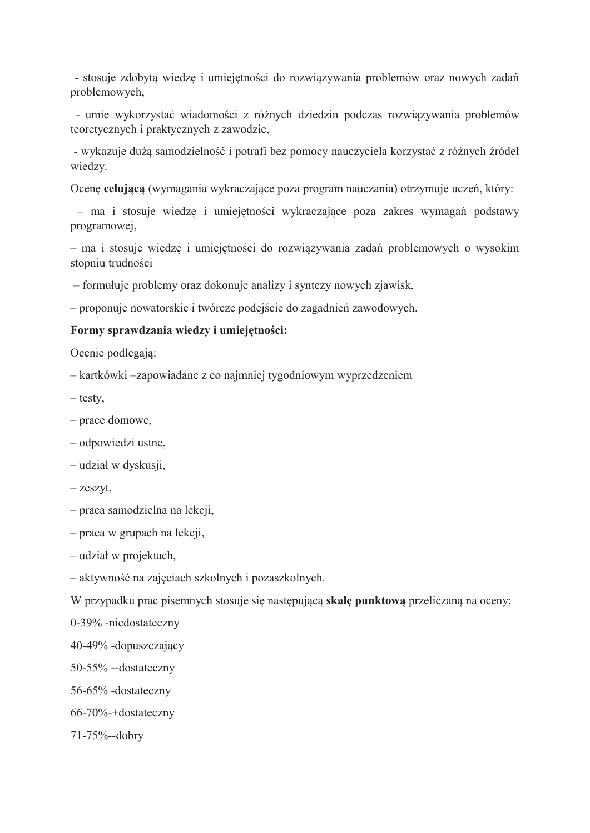- stosuje zdobyta wiedzę i umiejętności do rozwiązywania problemów oraz nowych zadań problemowych,

- umie wykorzystać wiadomości z różnych dziedzin podczas rozwiązywania problemów teoretycznych i praktycznych z zawodzie,

- wykazuje dużą samodzielność i potrafi bez pomocy nauczyciela korzystać z różnych źródeł wiedzy.

Ocenę celującą (wymagania wykraczające poza program nauczania) otrzymuje uczeń, który:

- ma i stosuje wiedzę i umiejętności wykraczające poza zakres wymagań podstawy programowej,

- ma i stosuje wiedzę i umiejętności do rozwiązywania zadań problemowych o wysokim stopniu trudności

- formułuje problemy oraz dokonuje analizy i syntezy nowych zjawisk,

- proponuje nowatorskie i twórcze podejście do zagadnień zawodowych.

### Formy sprawdzania wiedzy i umiejętności:

Ocenie podlegaja:

– kartkówki –zapowiadane z co najmniej tygodniowym wyprzedzeniem

- testy,
- prace domowe,
- odpowiedzi ustne,
- udział w dyskusji,
- $-z$ eszyt,
- praca samodzielna na lekcji,
- praca w grupach na lekcji,
- udział w projektach,
- aktywność na zajęciach szkolnych i pozaszkolnych.

W przypadku prac pisemnych stosuje się następującą skalę punktową przeliczaną na oceny:

0-39% -niedostateczny

- 40-49% -dopuszczający
- 50-55% --dostateczny
- 56-65% -dostateczny
- 66-70%-+dostateczny
- 71-75%--dobry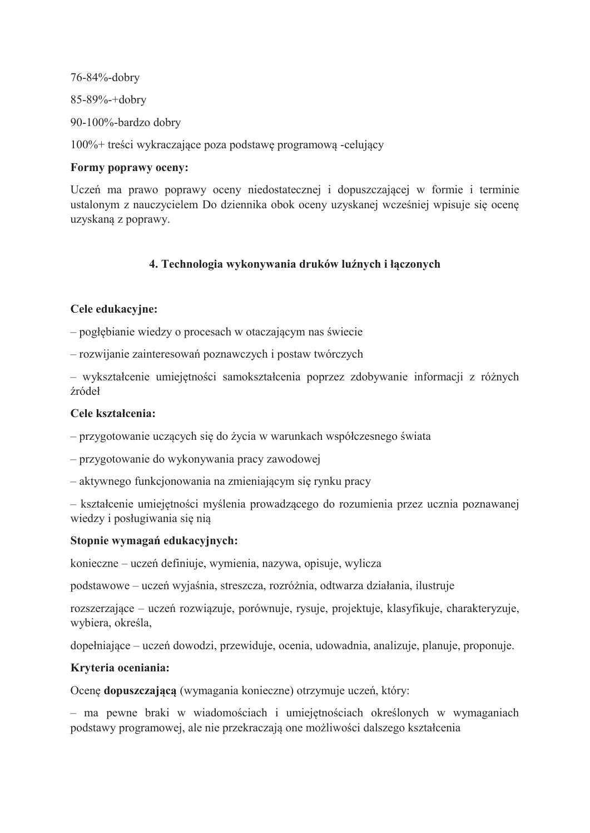76-84%-dobry

85-89%-+dobry

90-100%-bardzo dobry

100%+ treści wykraczające poza podstawę programową -celujący

## Formy poprawy oceny:

Uczeń ma prawo poprawy oceny niedostatecznej i dopuszczającej w formie i terminie ustalonym z nauczycielem Do dziennika obok oceny uzyskanej wcześniej wpisuje się ocenę uzyskaną z poprawy.

# 4. Technologia wykonywania druków luźnych i łączonych

# Cele edukacvine:

- pogłebianie wiedzy o procesach w otaczającym nas świecie

- rozwijanie zainteresowań poznawczych i postaw twórczych

- wykształcenie umiejętności samokształcenia poprzez zdobywanie informacji z różnych źródeł

# Cele kształcenia:

- przygotowanie uczących się do życia w warunkach współczesnego świata

- przygotowanie do wykonywania pracy zawodowej

- aktywnego funkcjonowania na zmieniającym się rynku pracy

- kształcenie umiejetności myślenia prowadzacego do rozumienia przez ucznia poznawanej wiedzy i posługiwania się nią

## Stopnie wymagań edukacyjnych:

konieczne – uczeń definiuje, wymienia, nazywa, opisuje, wylicza

podstawowe – uczeń wyjaśnia, streszcza, rozróżnia, odtwarza działania, ilustruje

rozszerzające – uczeń rozwiązuje, porównuje, rysuje, projektuje, klasyfikuje, charakteryzuje, wybiera, określa,

dopełniające – uczeń dowodzi, przewiduje, ocenia, udowadnia, analizuje, planuje, proponuje.

# Kryteria oceniania:

Ocenę dopuszczającą (wymagania konieczne) otrzymuje uczeń, który:

- ma pewne braki w wiadomościach i umiejetnościach określonych w wymaganiach podstawy programowej, ale nie przekraczają one możliwości dalszego kształcenia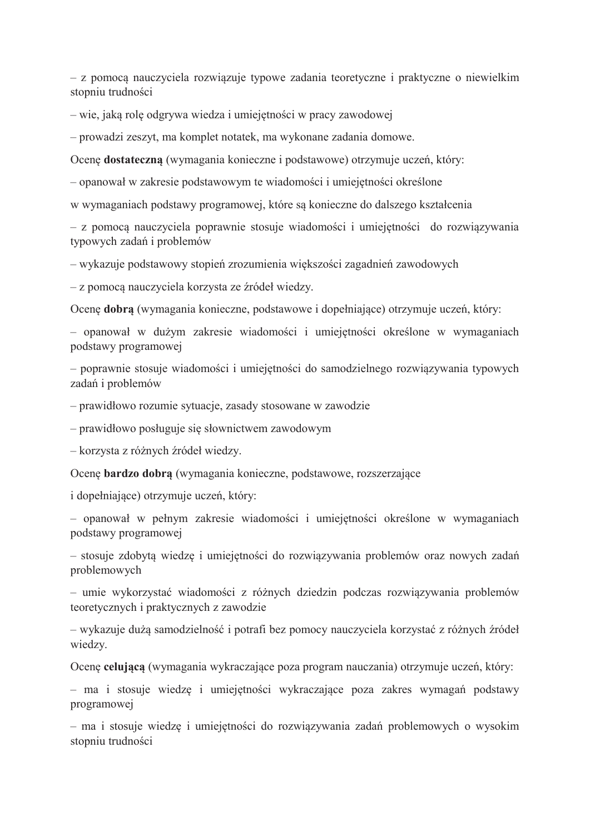- z pomocą nauczyciela rozwiązuje typowe zadania teoretyczne i praktyczne o niewielkim stopniu trudności

– wie, jaką rolę odgrywa wiedza i umiejętności w pracy zawodowej

- prowadzi zeszyt, ma komplet notatek, ma wykonane zadania domowe.

Ocenę dostateczną (wymagania konieczne i podstawowe) otrzymuje uczeń, który:

- opanował w zakresie podstawowym te wiadomości i umiejętności określone

w wymaganiach podstawy programowej, które są konieczne do dalszego kształcenia

- z pomocą nauczyciela poprawnie stosuje wiadomości i umiejętności do rozwiązywania typowych zadań i problemów

– wykazuje podstawowy stopień zrozumienia większości zagadnień zawodowych

- z pomocą nauczyciela korzysta ze źródeł wiedzy.

Ocene dobra (wymagania konieczne, podstawowe i dopełniające) otrzymuje uczeń, który:

- opanował w dużym zakresie wiadomości i umiejętności określone w wymaganiach podstawy programowej

- poprawnie stosuje wiadomości i umiejętności do samodzielnego rozwiązywania typowych zadań i problemów

- prawidłowo rozumie sytuacje, zasady stosowane w zawodzie

- prawidłowo posługuje się słownictwem zawodowym

- korzysta z różnych źródeł wiedzy.

Ocenę bardzo dobrą (wymagania konieczne, podstawowe, rozszerzające

i dopełniające) otrzymuje uczeń, który:

- opanował w pełnym zakresie wiadomości i umiejętności określone w wymaganiach podstawy programowej

- stosuje zdobytą wiedzę i umiejętności do rozwiązywania problemów oraz nowych zadań problemowych

- umie wykorzystać wiadomości z różnych dziedzin podczas rozwiązywania problemów teoretycznych i praktycznych z zawodzie

– wykazuje dużą samodzielność i potrafi bez pomocy nauczyciela korzystać z różnych źródeł wiedzy.

Ocene celujaca (wymagania wykraczające poza program nauczania) otrzymuje uczeń, który:

- ma i stosuje wiedzę i umiejętności wykraczające poza zakres wymagań podstawy programowej

- ma i stosuje wiedzę i umiejętności do rozwiązywania zadań problemowych o wysokim stopniu trudności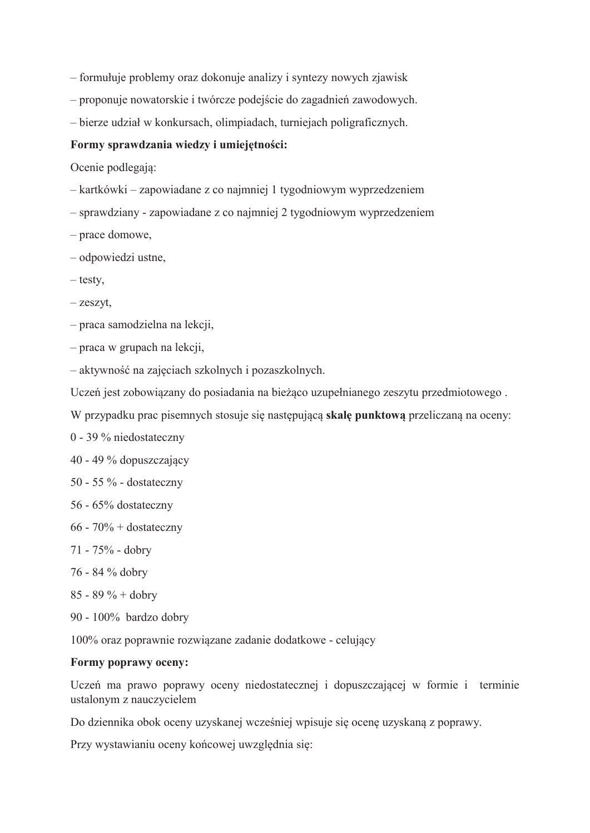- formułuje problemy oraz dokonuje analizy i syntezy nowych zjawisk
- proponuje nowatorskie i twórcze podejście do zagadnień zawodowych.
- bierze udział w konkursach, olimpiadach, turniejach poligraficznych.

#### Formy sprawdzania wiedzy i umiejętności:

Ocenie podlegają:

- kartkówki zapowiadane z co najmniej 1 tygodniowym wyprzedzeniem
- sprawdziany zapowiadane z co najmniej 2 tygodniowym wyprzedzeniem
- prace domowe,
- odpowiedzi ustne,
- $-$  testy,
- $-$  zeszyt,
- praca samodzielna na lekcji,
- $-$  praca w grupach na lekcji,
- aktywność na zajęciach szkolnych i pozaszkolnych.
- Uczeń jest zobowiązany do posiadania na bieżąco uzupełnianego zeszytu przedmiotowego.
- W przypadku prac pisemnych stosuje się następującą skalę punktową przeliczaną na oceny:
- 0 39 % niedostateczny
- 40 49 % dopuszczający
- 50 55 % dostateczny
- 56 65% dostateczny
- $66 70\% + \text{dostateczny}$
- $71 75\%$  dobry
- 76 84 % dobry
- 85 89 % + dobry
- 90 100% bardzo dobry

100% oraz poprawnie rozwiązane zadanie dodatkowe - celujący

#### Formy poprawy oceny:

Uczeń ma prawo poprawy oceny niedostatecznej i dopuszczającej w formie i terminie ustalonym z nauczycielem

Do dziennika obok oceny uzyskanej wcześniej wpisuje się ocenę uzyskaną z poprawy.

Przy wystawianiu oceny końcowej uwzględnia się: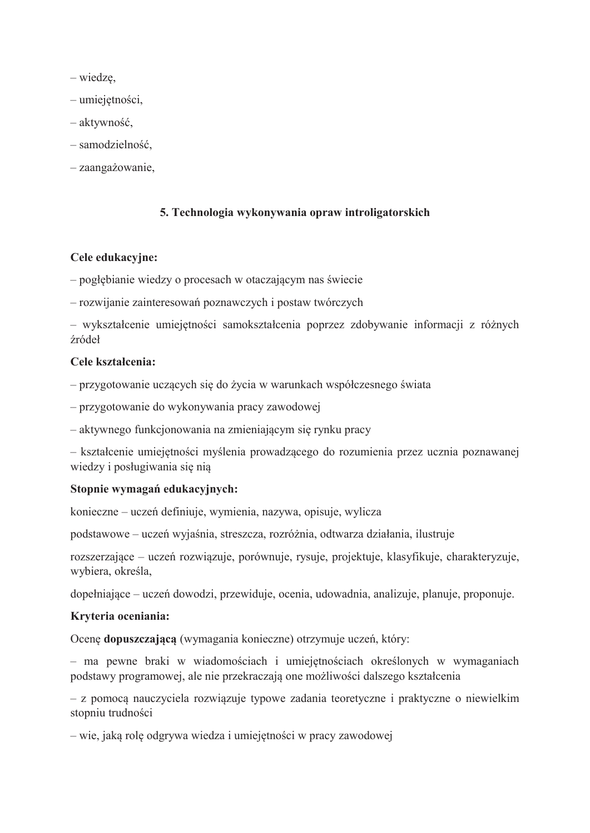$-$  wiedze,

- $-$ umiejętności,
- aktywność,
- samodzielność,
- zaangażowanie,

### 5. Technologia wykonywania opraw introligatorskich

### Cele edukacvine:

- pogłębianie wiedzy o procesach w otaczającym nas świecie

- rozwijanie zainteresowań poznawczych i postaw twórczych

- wykształcenie umiejętności samokształcenia poprzez zdobywanie informacji z różnych źródeł

#### Cele kształcenia:

- przygotowanie uczących się do życia w warunkach współczesnego świata

- przygotowanie do wykonywania pracy zawodowej

- aktywnego funkcionowania na zmieniającym się rynku pracy

- kształcenie umiejętności myślenia prowadzącego do rozumienia przez ucznia poznawanej wiedzy i posługiwania się nia

### Stopnie wymagań edukacyjnych:

konieczne – uczeń definiuje, wymienia, nazywa, opisuje, wylicza

podstawowe – uczeń wyjaśnia, streszcza, rozróżnia, odtwarza działania, ilustruje

rozszerzające – uczeń rozwiązuje, porównuje, rysuje, projektuje, klasyfikuje, charakteryzuje, wybiera, określa,

dopełniające – uczeń dowodzi, przewiduje, ocenia, udowadnia, analizuje, planuje, proponuje.

### Kryteria oceniania:

Ocene dopuszczającą (wymagania konieczne) otrzymuje uczeń, który:

- ma pewne braki w wiadomościach i umiejętnościach określonych w wymaganiach podstawy programowej, ale nie przekraczają one możliwości dalszego kształcenia

- z pomocą nauczyciela rozwiązuje typowe zadania teoretyczne i praktyczne o niewielkim stopniu trudności

– wie, jaką rolę odgrywa wiedza i umiejętności w pracy zawodowej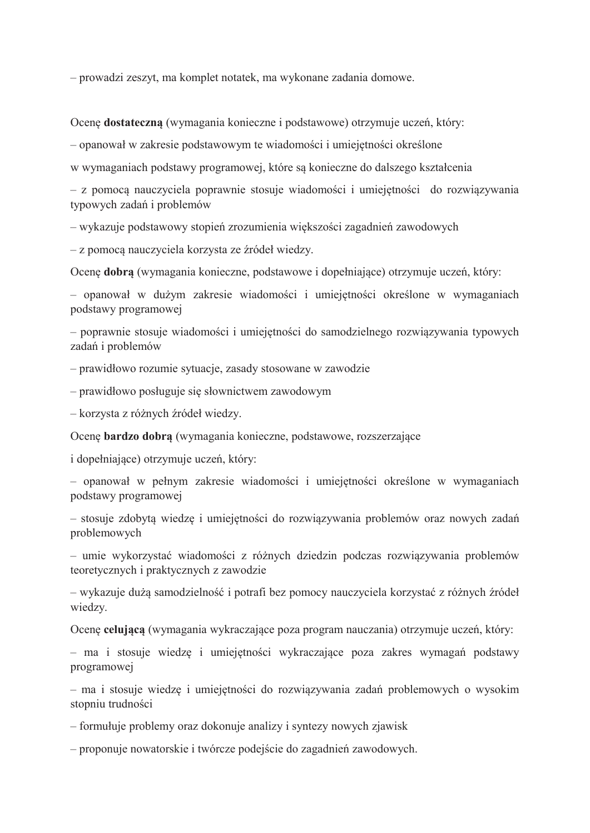- prowadzi zeszyt, ma komplet notatek, ma wykonane zadania domowe.

Ocenę dostateczną (wymagania konieczne i podstawowe) otrzymuje uczeń, który:

- opanował w zakresie podstawowym te wiadomości i umiejętności określone

w wymaganiach podstawy programowej, które są konieczne do dalszego kształcenia

- z pomocą nauczyciela poprawnie stosuje wiadomości i umiejętności do rozwiązywania typowych zadań i problemów

– wykazuje podstawowy stopień zrozumienia większości zagadnień zawodowych

- z pomocą nauczyciela korzysta ze źródeł wiedzy.

Ocene dobra (wymagania konieczne, podstawowe i dopełniające) otrzymuje uczeń, który:

- opanował w dużym zakresie wiadomości i umiejętności określone w wymaganiach podstawy programowej

- poprawnie stosuje wiadomości i umiejetności do samodzielnego rozwiazywania typowych zadań i problemów

- prawidłowo rozumie sytuacje, zasady stosowane w zawodzie

- prawidłowo posługuje się słownictwem zawodowym

- korzysta z różnych źródeł wiedzy.

Ocenę bardzo dobrą (wymagania konieczne, podstawowe, rozszerzające

i dopełniające) otrzymuje uczeń, który:

- opanował w pełnym zakresie wiadomości i umiejętności określone w wymaganiach podstawy programowej

- stosuje zdobytą wiedzę i umiejętności do rozwiązywania problemów oraz nowych zadań problemowych

- umie wykorzystać wiadomości z różnych dziedzin podczas rozwiązywania problemów teoretycznych i praktycznych z zawodzie

– wykazuje dużą samodzielność i potrafi bez pomocy nauczyciela korzystać z różnych źródeł wiedzy.

Ocenę celującą (wymagania wykraczające poza program nauczania) otrzymuje uczeń, który:

- ma i stosuje wiedzę i umiejętności wykraczające poza zakres wymagań podstawy programowej

- ma i stosuje wiedze i umiejetności do rozwiązywania zadań problemowych o wysokim stopniu trudności

- formułuje problemy oraz dokonuje analizy i syntezy nowych zjawisk

- proponuje nowatorskie i twórcze podejście do zagadnień zawodowych.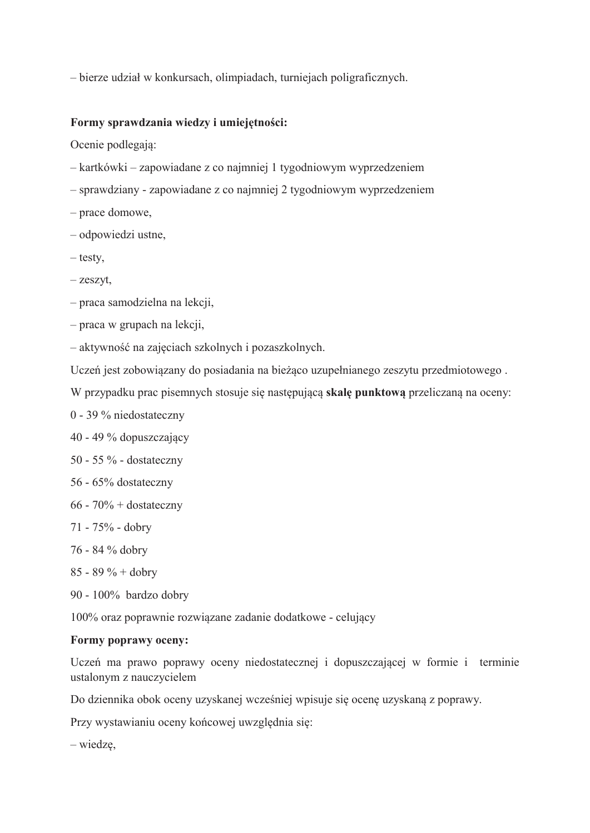- bierze udział w konkursach, olimpiadach, turniejach poligraficznych.

### Formy sprawdzania wiedzy i umiejętności:

Ocenie podlegają:

- kartkówki zapowiadane z co najmniej 1 tygodniowym wyprzedzeniem
- sprawdziany zapowiadane z co najmniej 2 tygodniowym wyprzedzeniem
- prace domowe,
- odpowiedzi ustne,
- $-$  testy,
- $-z$ eszyt,
- praca samodzielna na lekcji,
- $-$  praca w grupach na lekcji,
- aktywność na zajęciach szkolnych i pozaszkolnych.
- Uczeń jest zobowiązany do posiadania na bieżąco uzupełnianego zeszytu przedmiotowego.
- W przypadku prac pisemnych stosuje się następującą skalę punktową przeliczaną na oceny:
- 0 39 % niedostateczny
- 40 49 % dopuszczający
- 50 55 % dostateczny
- 56 65% dostateczny
- $66 70\% + \text{dostateczny}$
- 71 75% dobry
- 76 84 % dobry
- $85 89 \% +$  dobry
- 90 100% bardzo dobry

100% oraz poprawnie rozwiązane zadanie dodatkowe - celujący

### Formy poprawy oceny:

Uczeń ma prawo poprawy oceny niedostatecznej i dopuszczającej w formie i terminie ustalonym z nauczycielem

Do dziennika obok oceny uzyskanej wcześniej wpisuje się ocene uzyskana z poprawy.

Przy wystawianiu oceny końcowej uwzględnia się:

 $-$  wiedzę,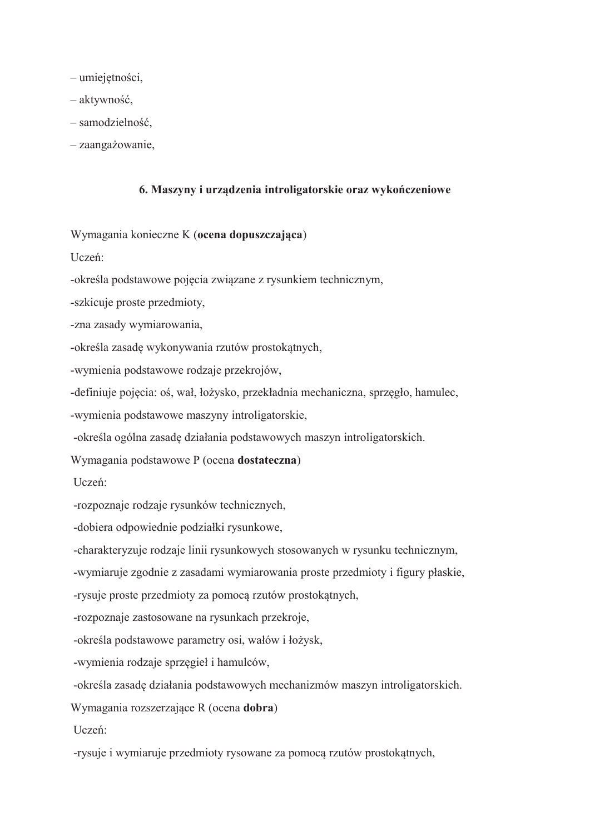- umiejętności,
- aktywność,
- samodzielność,
- zaangażowanie,

### 6. Maszyny i urządzenia introligatorskie oraz wykończeniowe

Wymagania konieczne K (ocena dopuszczająca)

Uczeń:

-określa podstawowe pojęcia związane z rysunkiem technicznym,

-szkicuje proste przedmioty,

-zna zasady wymiarowania,

-określa zasadę wykonywania rzutów prostokątnych,

-wymienia podstawowe rodzaje przekrojów,

-definiuje pojęcia: oś, wał, łożysko, przekładnia mechaniczna, sprzęgło, hamulec,

-wymienia podstawowe maszyny introligatorskie,

-określa ogólna zasadę działania podstawowych maszyn introligatorskich.

Wymagania podstawowe P (ocena dostateczna)

Uczeń:

-rozpoznaje rodzaje rysunków technicznych,

-dobiera odpowiednie podziałki rysunkowe,

-charakteryzuje rodzaje linii rysunkowych stosowanych w rysunku technicznym,

-wymiaruje zgodnie z zasadami wymiarowania proste przedmioty i figury płaskie,

-rysuje proste przedmioty za pomocą rzutów prostokątnych,

-rozpoznaje zastosowane na rysunkach przekroje,

-określa podstawowe parametry osi, wałów i łożysk,

-wymienia rodzaje sprzęgieł i hamulców,

-określa zasadę działania podstawowych mechanizmów maszyn introligatorskich.

Wymagania rozszerzające R (ocena dobra)

Uczeń:

-rysuje i wymiaruje przedmioty rysowane za pomocą rzutów prostokatnych,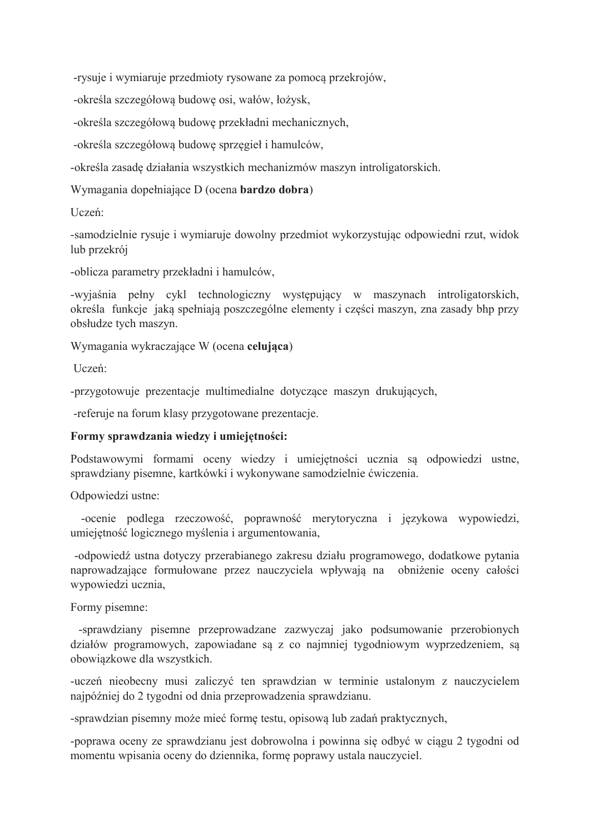-rysuje i wymiaruje przedmioty rysowane za pomocą przekrojów,

-określa szczegółowa budowe osi, wałów, łożysk,

-określa szczegółową budowę przekładni mechanicznych,

-określa szczegółową budowę sprzegieł i hamulców,

-określa zasadę działania wszystkich mechanizmów maszyn introligatorskich.

Wymagania dopełniające D (ocena bardzo dobra)

Uczeń:

-samodzielnie rysuje i wymiaruje dowolny przedmiot wykorzystując odpowiedni rzut, widok lub przekrój

-oblicza parametry przekładni i hamulców,

-wyjaśnia pełny cykl technologiczny występujący w maszynach introligatorskich, określa funkcje jaka spełniają poszczególne elementy i części maszyn, zna zasady bhp przy obsłudze tych maszyn.

Wymagania wykraczające W (ocena celująca)

Uczeń:

-przygotowuje prezentacje multimedialne dotyczące maszyn drukujących,

-referuje na forum klasy przygotowane prezentacje.

## Formy sprawdzania wiedzy i umiejętności:

Podstawowymi formami oceny wiedzy i umiejętności ucznia są odpowiedzi ustne, sprawdziany pisemne, kartkówki i wykonywane samodzielnie ćwiczenia.

Odpowiedzi ustne:

-ocenie podlega rzeczowość, poprawność merytoryczna i językowa wypowiedzi, umiejętność logicznego myślenia i argumentowania,

-odpowiedź ustna dotyczy przerabianego zakresu działu programowego, dodatkowe pytania naprowadzające formułowane przez nauczyciela wpływają na obniżenie oceny całości wypowiedzi ucznia,

Formy pisemne:

-sprawdziany pisemne przeprowadzane zazwyczaj jako podsumowanie przerobionych działów programowych, zapowiadane są z co najmniej tygodniowym wyprzedzeniem, są obowiazkowe dla wszystkich.

-uczeń nieobecny musi zaliczyć ten sprawdzian w terminie ustalonym z nauczycielem najpóźniej do 2 tygodni od dnia przeprowadzenia sprawdzianu.

-sprawdzian pisemny może mieć formę testu, opisową lub zadań praktycznych,

-poprawa oceny ze sprawdzianu jest dobrowolna i powinna się odbyć w ciągu 2 tygodni od momentu wpisania oceny do dziennika, formę poprawy ustala nauczyciel.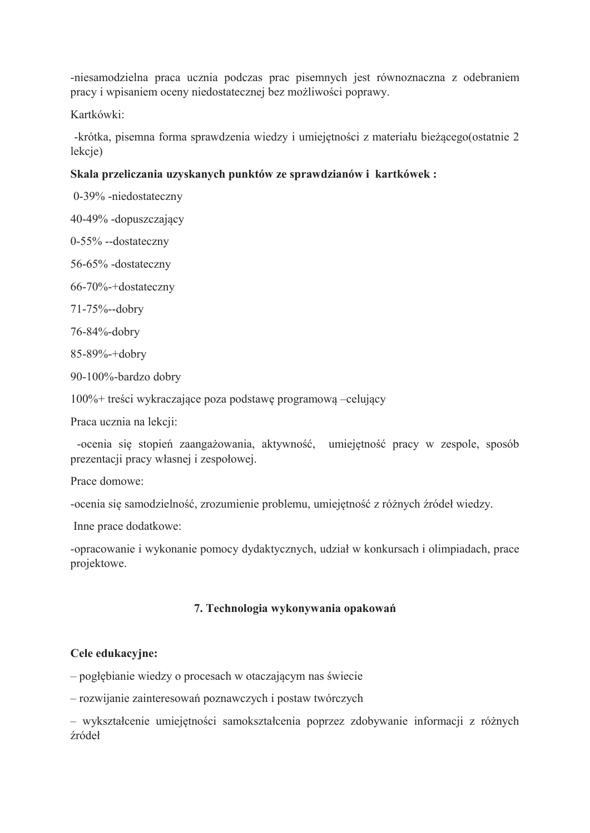-niesamodzielna praca ucznia podczas prac pisemnych jest równoznaczna z odebraniem pracy i wpisaniem oceny niedostatecznej bez możliwości poprawy.

Kartkówki:

-krótka, pisemna forma sprawdzenia wiedzy i umiejętności z materiału bieżącego(ostatnie 2 lekcje)

# Skala przeliczania uzyskanych punktów ze sprawdzianów i kartkówek:

0-39% -niedostateczny

40-49% -dopuszczający

 $0-55%$  --dostateczny

56-65% -dostateczny

66-70%-+dostateczny

71-75%--dobry

76-84%-dobry

85-89%-+dobry

90-100%-bardzo dobry

100%+ treści wykraczające poza podstawę programową –celujący

Praca ucznia na lekcji:

-ocenia się stopień zaangażowania, aktywność, umiejętność pracy w zespole, sposób prezentacji pracy własnej i zespołowej.

Prace domowe:

-ocenia się samodzielność, zrozumienie problemu, umiejętność z różnych źródeł wiedzy.

Inne prace dodatkowe:

-opracowanie i wykonanie pomocy dydaktycznych, udział w konkursach i olimpiadach, prace projektowe.

## 7. Technologia wykonywania opakowań

## Cele edukacyjne:

- pogłębianie wiedzy o procesach w otaczającym nas świecie

- rozwijanie zainteresowań poznawczych i postaw twórczych

- wykształcenie umiejętności samokształcenia poprzez zdobywanie informacji z różnych źródeł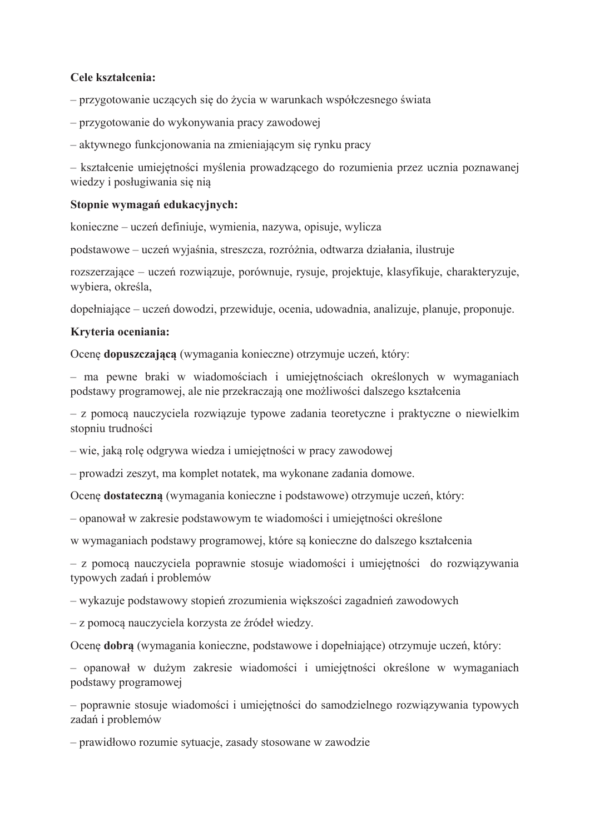### Cele kształcenia:

- przygotowanie uczących się do życia w warunkach współczesnego świata

- przygotowanie do wykonywania pracy zawodowej

– aktywnego funkcjonowania na zmieniającym się rynku pracy

- kształcenie umiejętności myślenia prowadzącego do rozumienia przez ucznia poznawanej wiedzy i posługiwania się nia

### Stopnie wymagań edukacyjnych:

konieczne – uczeń definiuje, wymienia, nazywa, opisuje, wylicza

podstawowe – uczeń wyjaśnia, streszcza, rozróżnia, odtwarza działania, ilustruje

rozszerzające – uczeń rozwiązuje, porównuje, rysuje, projektuje, klasyfikuje, charakteryzuje, wybiera, określa,

dopełniające – uczeń dowodzi, przewiduje, ocenia, udowadnia, analizuje, planuje, proponuje.

### Krvteria oceniania:

Ocenę dopuszczającą (wymagania konieczne) otrzymuje uczeń, który:

- ma pewne braki w wiadomościach i umiejętnościach określonych w wymaganiach podstawy programowej, ale nie przekraczają one możliwości dalszego kształcenia

- z pomocą nauczyciela rozwiązuje typowe zadania teoretyczne i praktyczne o niewielkim stopniu trudności

– wie, jaka rolę odgrywa wiedza i umiejętności w pracy zawodowej

- prowadzi zeszyt, ma komplet notatek, ma wykonane zadania domowe.

Ocenę dostateczną (wymagania konieczne i podstawowe) otrzymuje uczeń, który:

- opanował w zakresie podstawowym te wiadomości i umiejętności określone

w wymaganiach podstawy programowej, które są konieczne do dalszego kształcenia

- z pomocą nauczyciela poprawnie stosuje wiadomości i umiejętności do rozwiązywania typowych zadań i problemów

– wykazuje podstawowy stopień zrozumienia większości zagadnień zawodowych

- z pomoca nauczyciela korzysta ze źródeł wiedzy.

Ocene dobra (wymagania konieczne, podstawowe i dopełniające) otrzymuje uczeń, który:

- opanował w dużym zakresie wiadomości i umiejętności określone w wymaganiach podstawy programowej

- poprawnie stosuje wiadomości i umiejętności do samodzielnego rozwiązywania typowych zadań i problemów

- prawidłowo rozumie sytuacje, zasady stosowane w zawodzie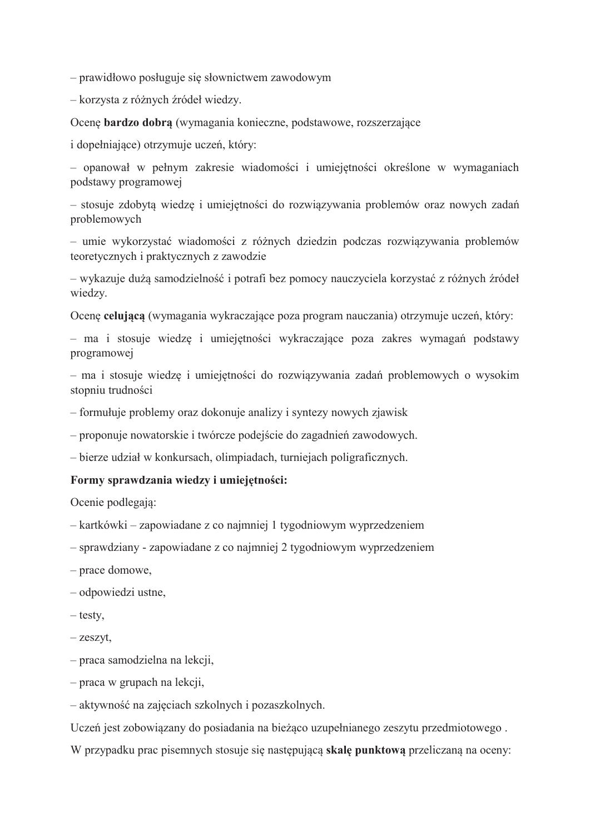- prawidłowo posługuje się słownictwem zawodowym

- korzysta z różnych źródeł wiedzy.

Ocenę bardzo dobrą (wymagania konieczne, podstawowe, rozszerzające

i dopełniające) otrzymuje uczeń, który:

- opanował w pełnym zakresie wiadomości i umiejętności określone w wymaganiach podstawy programowei

- stosuje zdobytą wiedzę i umiejętności do rozwiązywania problemów oraz nowych zadań problemowych

- umie wykorzystać wiadomości z różnych dziedzin podczas rozwiązywania problemów teoretycznych i praktycznych z zawodzie

- wykazuje dużą samodzielność i potrafi bez pomocy nauczyciela korzystać z różnych źródeł wiedzy.

Ocenę celującą (wymagania wykraczające poza program nauczania) otrzymuje uczeń, który:

- ma i stosuje wiedzę i umiejętności wykraczające poza zakres wymagań podstawy programowej

- ma i stosuje wiedzę i umiejętności do rozwiązywania zadań problemowych o wysokim stopniu trudności

- formułuje problemy oraz dokonuje analizy i syntezy nowych zjawisk

- proponuje nowatorskie i twórcze podejście do zagadnień zawodowych.

- bierze udział w konkursach, olimpiadach, turniejach poligraficznych.

#### Formy sprawdzania wiedzy i umiejętności:

Ocenie podlegają:

– kartkówki – zapowiadane z co najmniej 1 tygodniowym wyprzedzeniem

- sprawdziany - zapowiadane z co najmniej 2 tygodniowym wyprzedzeniem

- prace domowe,
- odpowiedzi ustne,
- $-$  testy.
- $-z$ eszyt,
- praca samodzielna na lekcji,
- $-$  praca w grupach na lekcji,

– aktywność na zajęciach szkolnych i pozaszkolnych.

Uczeń jest zobowiązany do posiadania na bieżąco uzupełnianego zeszytu przedmiotowego.

W przypadku prac pisemnych stosuje się następującą skalę punktową przeliczaną na oceny: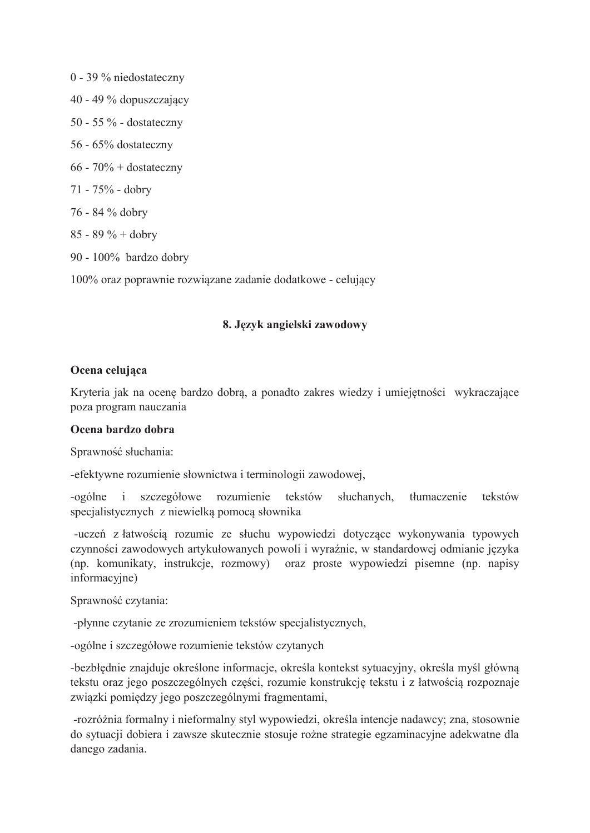0 - 39 % niedostateczny 40 - 49 % dopuszczający 50 - 55  $\%$  - dostateczny 56 - 65% dostateczny  $66 - 70\% + \text{dostateczny}$ 71 - 75% - dobry 76 - 84 % dobry  $85 - 89 \% +$  dobry 90 - 100% bardzo dobry

100% oraz poprawnie rozwiązane zadanie dodatkowe - celujący

### 8. Język angielski zawodowy

### Ocena celujaca

Kryteria jak na ocenę bardzo dobrą, a ponadto zakres wiedzy i umiejętności wykraczające poza program nauczania

### Ocena bardzo dobra

Sprawność słuchania:

-efektywne rozumienie słownictwa i terminologii zawodowej,

 $-o$ gólne  $i$ szczegółowe rozumienie tekstów słuchanych. tłumaczenie tekstów specjalistycznych z niewielką pomocą słownika

-uczeń z łatwością rozumie ze słuchu wypowiedzi dotyczące wykonywania typowych czynności zawodowych artykułowanych powoli i wyraźnie, w standardowej odmianie języka (np. komunikaty, instrukcje, rozmowy) oraz proste wypowiedzi pisemne (np. napisy informacyjne)

Sprawność czytania:

-płynne czytanie ze zrozumieniem tekstów specjalistycznych,

-ogólne i szczegółowe rozumienie tekstów czytanych

-bezbłędnie znajduje określone informacje, określa kontekst sytuacyjny, określa myśl główną tekstu oraz jego poszczególnych części, rozumie konstrukcję tekstu i z łatwością rozpoznaje związki pomiędzy jego poszczególnymi fragmentami,

-rozróżnia formalny i nieformalny styl wypowiedzi, określa intencje nadawcy; zna, stosownie do sytuacji dobiera i zawsze skutecznie stosuje rożne strategie egzaminacyjne adekwatne dla danego zadania.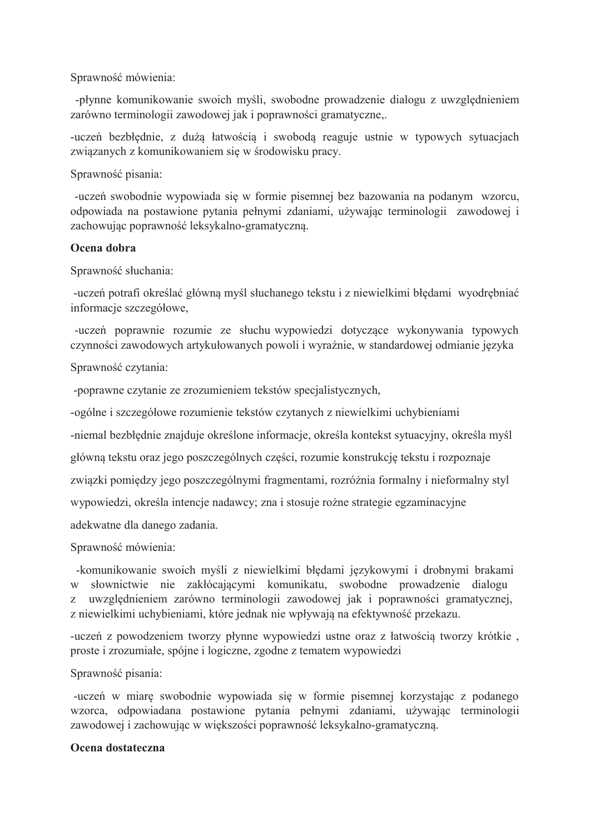Sprawność mówienia:

-płynne komunikowanie swoich myśli, swobodne prowadzenie dialogu z uwzględnieniem zarówno terminologii zawodowej jak i poprawności gramatyczne,.

-uczeń bezbłędnie, z dużą łatwością i swobodą reaguje ustnie w typowych sytuacjach związanych z komunikowaniem się w środowisku pracy.

Sprawność pisania:

-uczeń swobodnie wypowiada się w formie pisemnej bez bazowania na podanym wzorcu, odpowiada na postawione pytania pełnymi zdaniami, używając terminologii zawodowej i zachowując poprawność leksykalno-gramatyczną.

### Ocena dobra

Sprawność słuchania:

-uczeń potrafi określać główną myśl słuchanego tekstu i z niewielkimi błędami wyodrębniać informacje szczegółowe,

-uczeń poprawnie rozumie ze słuchu wypowiedzi dotyczące wykonywania typowych czynności zawodowych artykułowanych powoli i wyraźnie, w standardowej odmianie języka

Sprawność czytania:

-poprawne czytanie ze zrozumieniem tekstów specjalistycznych,

-ogólne i szczegółowe rozumienie tekstów czytanych z niewielkimi uchybieniami

-niemal bezbłędnie znajduje określone informacje, określa kontekst sytuacyjny, określa myśl

główną tekstu oraz jego poszczególnych części, rozumie konstrukcję tekstu i rozpoznaje

związki pomiędzy jego poszczególnymi fragmentami, rozróżnia formalny i nieformalny styl

wypowiedzi, określa intencje nadawcy; zna i stosuje rożne strategie egzaminacyjne

adekwatne dla danego zadania.

Sprawność mówienia:

-komunikowanie swoich myśli z niewielkimi błędami językowymi i drobnymi brakami w słownictwie nie zakłócającymi komunikatu, swobodne prowadzenie dialogu z uwzględnieniem zarówno terminologii zawodowej jak i poprawności gramatycznej, z niewielkimi uchybieniami, które jednak nie wpływają na efektywność przekazu.

-uczeń z powodzeniem tworzy płynne wypowiedzi ustne oraz z łatwością tworzy krótkie, proste i zrozumiałe, spójne i logiczne, zgodne z tematem wypowiedzi

Sprawność pisania:

-uczeń w miarę swobodnie wypowiada się w formie pisemnej korzystając z podanego wzorca, odpowiadana postawione pytania pełnymi zdaniami, używając terminologii zawodowej i zachowując w większości poprawność leksykalno-gramatyczną.

### Ocena dostateczna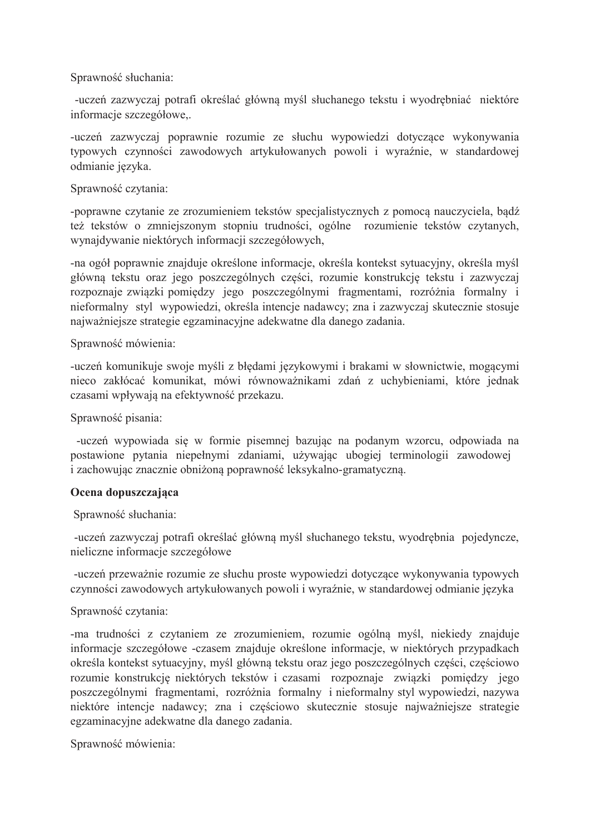Sprawność słuchania:

-uczeń zazwyczaj potrafi określać główną myśl słuchanego tekstu i wyodrębniać niektóre informacje szczegółowe,.

-uczeń zazwyczaj poprawnie rozumie ze słuchu wypowiedzi dotyczące wykonywania typowych czynności zawodowych artykułowanych powoli i wyraźnie, w standardowej odmianie języka.

### Sprawność czytania:

-poprawne czytanie ze zrozumieniem tekstów specjalistycznych z pomoca nauczyciela, badź też tekstów o zmniejszonym stopniu trudności, ogólne rozumienie tekstów czytanych, wynajdywanie niektórych informacji szczegółowych,

-na ogół poprawnie znajduje określone informacje, określa kontekst sytuacyjny, określa myśl główną tekstu oraz jego poszczególnych części, rozumie konstrukcję tekstu i zazwyczaj rozpoznaje związki pomiędzy jego poszczególnymi fragmentami, rozróżnia formalny i nieformalny styl wypowiedzi, określa intencje nadawcy; zna i zazwyczaj skutecznie stosuje najważniejsze strategie egzaminacyjne adekwatne dla danego zadania.

### Sprawność mówienia:

-uczeń komunikuje swoje myśli z błędami językowymi i brakami w słownictwie, mogącymi nieco zakłócać komunikat, mówi równoważnikami zdań z uchybieniami, które jednak czasami wpływają na efektywność przekazu.

Sprawność pisania:

-uczeń wypowiada się w formie pisemnej bazując na podanym wzorcu, odpowiada na postawione pytania niepełnymi zdaniami, używając ubogiej terminologii zawodowej i zachowując znacznie obniżoną poprawność leksykalno-gramatyczną.

## Ocena dopuszczająca

Sprawność słuchania:

-uczeń zazwyczaj potrafi określać główną myśl słuchanego tekstu, wyodrębnia pojedyncze, nieliczne informacje szczegółowe

-uczeń przeważnie rozumie ze słuchu proste wypowiedzi dotyczące wykonywania typowych czynności zawodowych artykułowanych powoli i wyraźnie, w standardowej odmianie języka

## Sprawność czytania:

-ma trudności z czytaniem ze zrozumieniem, rozumie ogólną myśl, niekiedy znajduje informacje szczegółowe -czasem znajduje określone informacje, w niektórych przypadkach określa kontekst sytuacyjny, myśl główną tekstu oraz jego poszczególnych części, częściowo rozumie konstrukcję niektórych tekstów i czasami rozpoznaje związki pomiędzy jego poszczególnymi fragmentami, rozróżnia formalny i nieformalny styl wypowiedzi, nazywa niektóre intencje nadawcy; zna i częściowo skutecznie stosuje najważniejsze strategie egzaminacyjne adekwatne dla danego zadania.

Sprawność mówienia: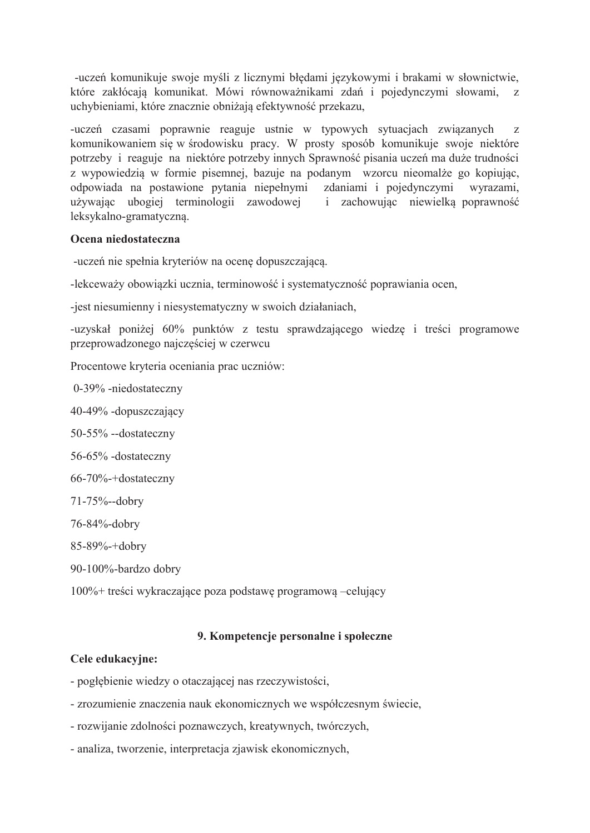-uczeń komunikuje swoje myśli z licznymi błedami językowymi i brakami w słownictwie, które zakłócają komunikat. Mówi równoważnikami zdań i pojedynczymi słowami,  $\mathbf{z}$ uchybieniami, które znacznie obniżają efektywność przekazu,

-uczeń czasami poprawnie reaguje ustnie w typowych sytuacjach związanych Z komunikowaniem się w środowisku pracy. W prosty sposób komunikuje swoje niektóre potrzeby i reaguje na niektóre potrzeby innych Sprawność pisania uczeń ma duże trudności z wypowiedzią w formie pisemnej, bazuje na podanym wzorcu nieomalże go kopiując, odpowiada na postawione pytania niepełnymi zdaniami i pojedynczymi wyrazami, używając ubogiej terminologii zawodowej i zachowując niewielką poprawność leksykalno-gramatyczna.

### Ocena niedostateczna

-uczeń nie spełnia kryteriów na ocenę dopuszczającą.

-lekceważy obowiązki ucznia, terminowość i systematyczność poprawiania ocen,

-jest niesumienny i niesystematyczny w swoich działaniach,

-uzyskał poniżej 60% punktów z testu sprawdzającego wiedzę i treści programowe przeprowadzonego najczęściej w czerwcu

Procentowe kryteria oceniania prac uczniów:

0-39% -niedostateczny

40-49% -dopuszczający

50-55% --dostateczny

56-65% -dostateczny

66-70%-+dostateczny

71-75%--dobry

76-84%-dobry

85-89%-+dobry

90-100%-bardzo dobry

 $100\%$  + treści wykraczające poza podstawe programowa –celujący

## 9. Kompetencie personalne i społeczne

## Cele edukacvine:

- pogłębienie wiedzy o otaczającej nas rzeczywistości,
- zrozumienie znaczenia nauk ekonomicznych we współczesnym świecie,
- rozwijanie zdolności poznawczych, kreatywnych, twórczych,
- analiza, tworzenie, interpretacja zjawisk ekonomicznych,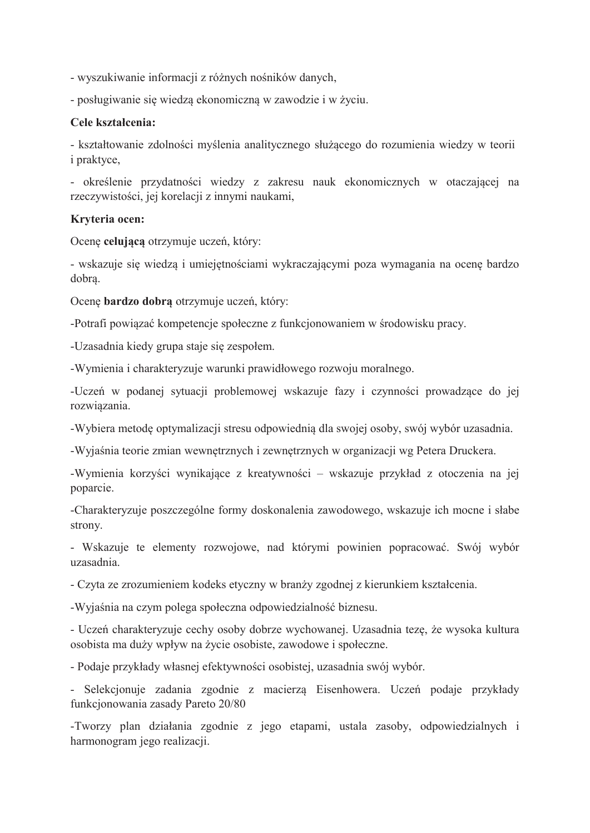- wyszukiwanie informacji z różnych nośników danych,

- posługiwanie się wiedzą ekonomiczną w zawodzie i w życiu.

### Cele kształcenia:

- kształtowanie zdolności myślenia analitycznego służącego do rozumienia wiedzy w teorii i praktyce,

- określenie przydatności wiedzy z zakresu nauk ekonomicznych w otaczającej na rzeczywistości, jej korelacji z innymi naukami,

### Kryteria ocen:

Ocenę celującą otrzymuje uczeń, który:

- wskazuje się wiedzą i umiejętnościami wykraczającymi poza wymagania na ocenę bardzo dobra.

Ocenę bardzo dobrą otrzymuje uczeń, który:

-Potrafi powiązać kompetencje społeczne z funkcjonowaniem w środowisku pracy.

-Uzasadnia kiedy grupa staje się zespołem.

-Wymienia i charakteryzuje warunki prawidłowego rozwoju moralnego.

-Uczeń w podanej sytuacji problemowej wskazuje fazy i czynności prowadzące do jej rozwiazania.

-Wybiera metodę optymalizacji stresu odpowiednią dla swojej osoby, swój wybór uzasadnia.

-Wyjaśnia teorie zmian wewnętrznych i zewnętrznych w organizacji wg Petera Druckera.

-Wymienia korzyści wynikające z kreatywności – wskazuje przykład z otoczenia na jej poparcie.

-Charakteryzuje poszczególne formy doskonalenia zawodowego, wskazuje ich mocne i słabe strony.

- Wskazuje te elementy rozwojowe, nad którymi powinien popracować. Swój wybór uzasadnia.

- Czyta ze zrozumieniem kodeks etyczny w branży zgodnej z kierunkiem kształcenia.

-Wyjaśnia na czym polega społeczna odpowiedzialność biznesu.

- Uczeń charakteryzuje cechy osoby dobrze wychowanej. Uzasadnia tezę, że wysoka kultura osobista ma duży wpływ na życie osobiste, zawodowe i społeczne.

- Podaje przykłady własnej efektywności osobistej, uzasadnia swój wybór.

- Selekcjonuje zadania zgodnie z macierzą Eisenhowera. Uczeń podaje przykłady funkcjonowania zasady Pareto 20/80

-Tworzy plan działania zgodnie z jego etapami, ustala zasoby, odpowiedzialnych i harmonogram jego realizacji.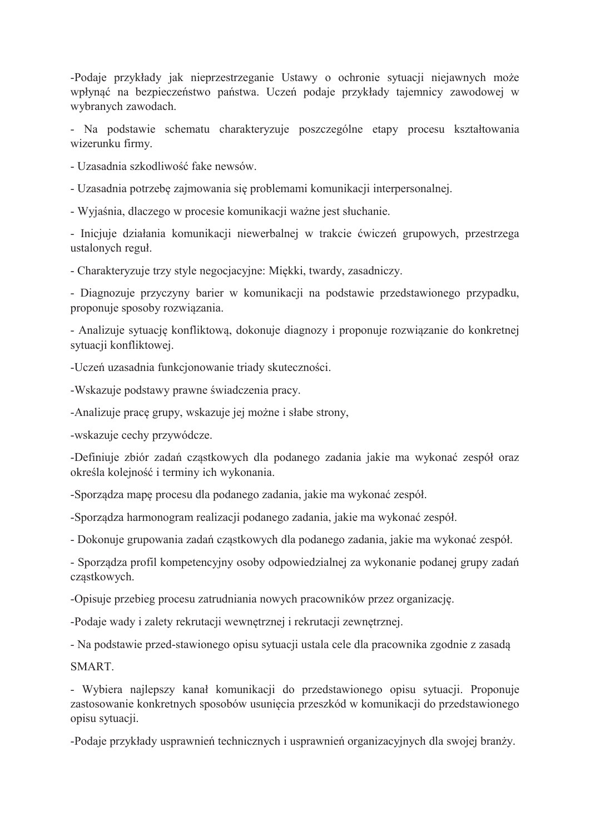-Podaje przykłady jak nieprzestrzeganie Ustawy o ochronie sytuacji niejawnych może wpłynąć na bezpieczeństwo państwa. Uczeń podaje przykłady tajemnicy zawodowej w wybranych zawodach.

- Na podstawie schematu charakteryzuje poszczególne etapy procesu kształtowania wizerunku firmy.

- Uzasadnia szkodliwość fake newsów.

- Uzasadnia potrzebę zajmowania się problemami komunikacji interpersonalnej.

- Wyjaśnia, dlaczego w procesie komunikacji ważne jest słuchanie.

- Inicjuje działania komunikacji niewerbalnej w trakcie ćwiczeń grupowych, przestrzega ustalonych reguł.

- Charakteryzuje trzy style negocjacyjne: Miękki, twardy, zasadniczy.

- Diagnozuje przyczyny barier w komunikacji na podstawie przedstawionego przypadku, proponuje sposoby rozwiązania.

- Analizuje sytuację konfliktową, dokonuje diagnozy i proponuje rozwiązanie do konkretnej sytuacii konfliktowej.

-Uczeń uzasadnia funkcjonowanie triady skuteczności.

-Wskazuje podstawy prawne świadczenia pracy.

-Analizuje pracę grupy, wskazuje jej możne i słabe strony,

-wskazuje cechy przywódcze.

-Definiuje zbiór zadań cząstkowych dla podanego zadania jakie ma wykonać zespół oraz określa kolejność i terminy ich wykonania.

-Sporządza mapę procesu dla podanego zadania, jakie ma wykonać zespół.

-Sporządza harmonogram realizacji podanego zadania, jakie ma wykonać zespół.

- Dokonuje grupowania zadań cząstkowych dla podanego zadania, jakie ma wykonać zespół.

- Sporządza profil kompetencyjny osoby odpowiedzialnej za wykonanie podanej grupy zadań cząstkowych.

-Opisuje przebieg procesu zatrudniania nowych pracowników przez organizację.

-Podaje wady i zalety rekrutacji wewnętrznej i rekrutacji zewnętrznej.

- Na podstawie przed-stawionego opisu sytuacji ustala cele dla pracownika zgodnie z zasadą

SMART.

- Wybiera najlepszy kanał komunikacji do przedstawionego opisu sytuacji. Proponuje zastosowanie konkretnych sposobów usunięcia przeszkód w komunikacji do przedstawionego opisu sytuacji.

-Podaje przykłady usprawnień technicznych i usprawnień organizacyjnych dla swojej branży.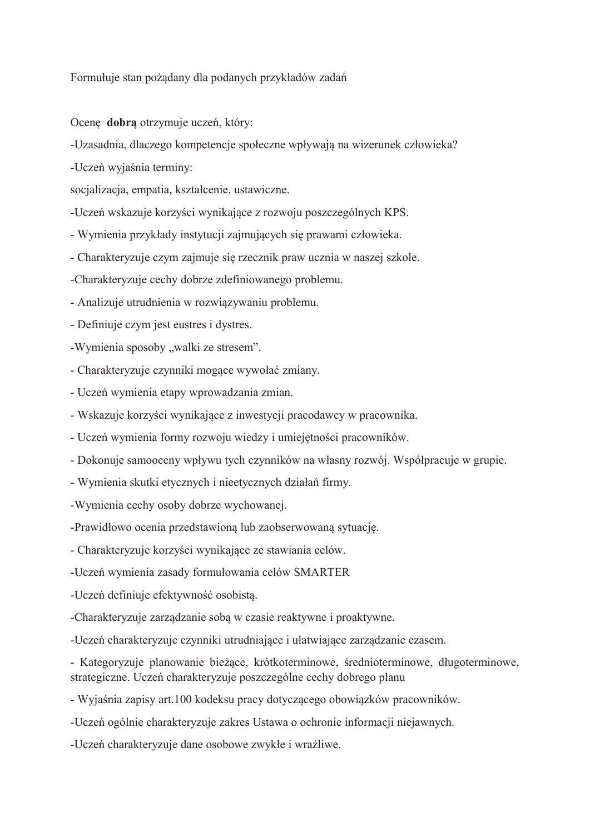Formułuje stan pożadany dla podanych przykładów zadań

Ocene dobra otrzymuje uczeń, który:

-Uzasadnia, dlaczego kompetencje społeczne wpływają na wizerunek człowieka?

-Uczeń wyjaśnia terminy:

socjalizacja, empatia, kształcenie. ustawiczne.

-Uczeń wskazuje korzyści wynikające z rozwoju poszczególnych KPS.

- Wymienia przykłady instytucji zajmujących się prawami człowieka.

- Charakteryzuje czym zajmuje się rzecznik praw ucznia w naszej szkole.

-Charakteryzuje cechy dobrze zdefiniowanego problemu.

- Analizuje utrudnienia w rozwiązywaniu problemu.

- Definiuje czym jest eustres i dystres.

-Wymienia sposoby "walki ze stresem".

- Charakteryzuje czynniki mogące wywołać zmiany.

- Uczeń wymienia etapy wprowadzania zmian.

- Wskazuje korzyści wynikające z inwestycji pracodawcy w pracownika.

- Uczeń wymienia formy rozwoju wiedzy i umiejętności pracowników.

- Dokonuje samooceny wpływu tych czynników na własny rozwój. Współpracuje w grupie.

- Wymienia skutki etycznych i nieetycznych działań firmy.

-Wymienia cechy osoby dobrze wychowanej.

-Prawidłowo ocenia przedstawioną lub zaobserwowaną sytuację.

- Charakteryzuje korzyści wynikające ze stawiania celów.

-Uczeń wymienia zasady formułowania celów SMARTER

-Uczeń definiuje efektywność osobistą.

-Charakteryzuje zarządzanie sobą w czasie reaktywne i proaktywne.

-Uczeń charakteryzuje czynniki utrudniające i ułatwiające zarządzanie czasem.

- Kategoryzuje planowanie bieżace, krótkoterminowe, średnioterminowe, długoterminowe, strategiczne. Uczeń charakteryzuje poszczególne cechy dobrego planu

- Wyjaśnia zapisy art.100 kodeksu pracy dotyczącego obowiazków pracowników.

-Uczeń ogólnie charakteryzuje zakres Ustawa o ochronie informacji niejawnych.

-Uczeń charakteryzuje dane osobowe zwykłe i wrażliwe.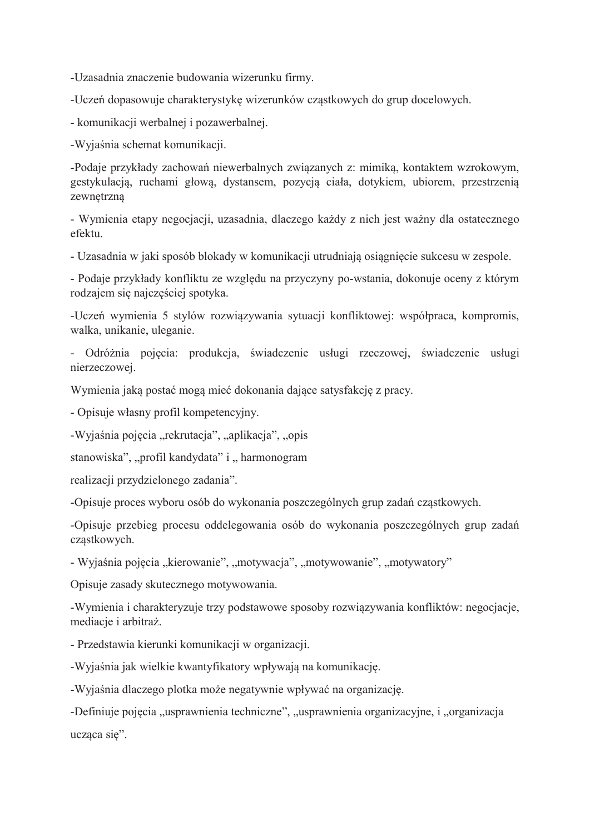-Uzasadnia znaczenie budowania wizerunku firmy.

-Uczeń dopasowuje charakterystyke wizerunków czastkowych do grup docelowych.

- komunikacji werbalnej i pozawerbalnej.

-Wyjaśnia schemat komunikacji.

-Podaje przykłady zachowań niewerbalnych związanych z: mimiką, kontaktem wzrokowym, gestykulacją, ruchami głową, dystansem, pozycją ciała, dotykiem, ubiorem, przestrzenią zewnętrzna

- Wymienia etapy negocjacji, uzasadnia, dlaczego każdy z nich jest ważny dla ostatecznego efektu.

- Uzasadnia w jaki sposób blokady w komunikacji utrudniają osiągniecie sukcesu w zespole.

- Podaje przykłady konfliktu ze względu na przyczyny po-wstania, dokonuje oceny z którym rodzajem się najczęściej spotyka.

-Uczeń wymienia 5 stylów rozwiązywania sytuacji konfliktowej: współpraca, kompromis, walka, unikanie, uleganie.

- Odróżnia pojęcia: produkcja, świadczenie usługi rzeczowej, świadczenie usługi nierzeczowej.

Wymienia jaką postać mogą mieć dokonania dające satysfakcję z pracy.

- Opisuje własny profil kompetencyjny.

-Wyjaśnia pojęcia "rekrutacja", "aplikacja", "opis

stanowiska", "profil kandydata" i "harmonogram

realizacji przydzielonego zadania".

-Opisuje proces wyboru osób do wykonania poszczególnych grup zadań cząstkowych.

-Opisuje przebieg procesu oddelegowania osób do wykonania poszczególnych grup zadań cząstkowych.

- Wyjaśnia pojęcia "kierowanie", "motywacja", "motywowanie", "motywatory"

Opisuje zasady skutecznego motywowania.

-Wymienia i charakteryzuje trzy podstawowe sposoby rozwiązywania konfliktów: negocjacje, mediacje i arbitraż.

- Przedstawia kierunki komunikacji w organizacji.

-Wyjaśnia jak wielkie kwantyfikatory wpływają na komunikację.

-Wyjaśnia dlaczego plotka może negatywnie wpływać na organizacje.

-Definiuje pojęcia "usprawnienia techniczne", "usprawnienia organizacyjne, i "organizacja ucząca się".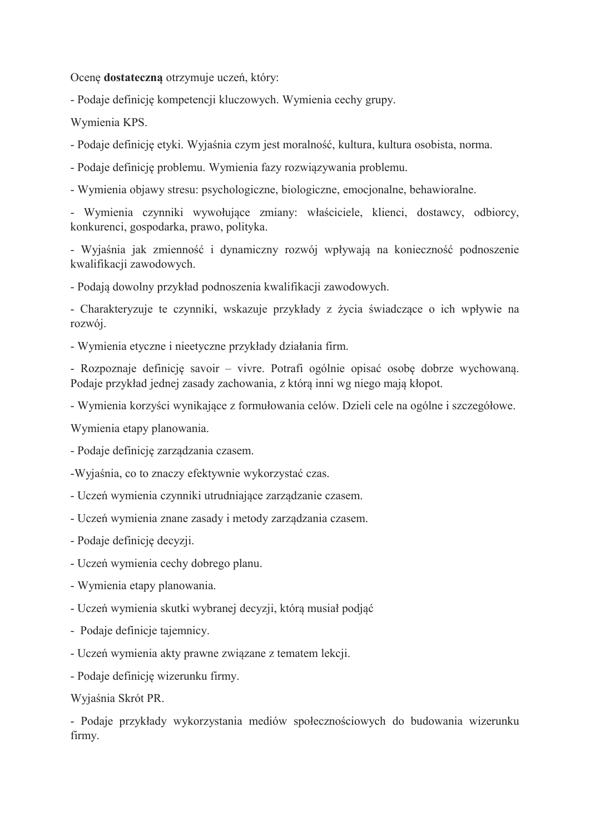Ocenę dostateczną otrzymuje uczeń, który:

- Podaje definicję kompetencji kluczowych. Wymienia cechy grupy.

Wymienia KPS.

- Podaje definicję etyki. Wyjaśnia czym jest moralność, kultura, kultura osobista, norma.

- Podaje definicję problemu. Wymienia fazy rozwiązywania problemu.

- Wymienia objawy stresu: psychologiczne, biologiczne, emocjonalne, behawioralne.

- Wymienia czynniki wywołujące zmiany: właściciele, klienci, dostawcy, odbiorcy, konkurenci, gospodarka, prawo, polityka.

- Wyjaśnia jak zmienność i dynamiczny rozwój wpływają na konieczność podnoszenie kwalifikacji zawodowych.

- Podają dowolny przykład podnoszenia kwalifikacji zawodowych.

- Charakteryzuje te czynniki, wskazuje przykłady z życia świadczące o ich wpływie na rozwój.

- Wymienia etyczne i nieetyczne przykłady działania firm.

- Rozpoznaje definicie savoir – vivre. Potrafi ogólnie opisać osobe dobrze wychowana. Podaje przykład jednej zasady zachowania, z którą inni wg niego mają kłopot.

- Wymienia korzyści wynikające z formułowania celów. Dzieli cele na ogólne i szczegółowe.

Wymienia etapy planowania.

- Podaje definicje zarządzania czasem.

-Wyjaśnia, co to znaczy efektywnie wykorzystać czas.

- Uczeń wymienia czynniki utrudniające zarządzanie czasem.

- Uczeń wymienia znane zasady i metody zarządzania czasem.
- Podaje definicję decyzji.
- Uczeń wymienia cechy dobrego planu.
- Wymienia etapy planowania.
- Uczeń wymienia skutki wybranej decyzji, którą musiał podjąć
- Podaje definicje tajemnicy.
- Uczeń wymienia akty prawne związane z tematem lekcji.
- Podaje definicję wizerunku firmy.

Wyjaśnia Skrót PR.

- Podaje przykłady wykorzystania mediów społecznościowych do budowania wizerunku firmy.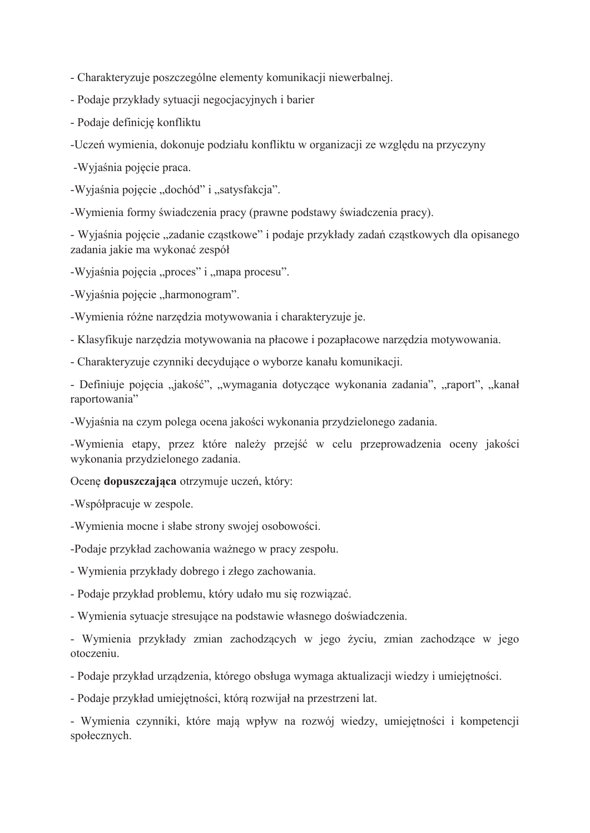- Charakteryzuje poszczególne elementy komunikacji niewerbalnej.

- Podaje przykłady sytuacji negocjacyjnych i barier
- Podaje definicję konfliktu

-Uczeń wymienia, dokonuje podziału konfliktu w organizacji ze względu na przyczyny

-Wyjaśnia pojęcie praca.

-Wyjaśnia pojęcie "dochód" i "satysfakcja".

-Wymienia formy świadczenia pracy (prawne podstawy świadczenia pracy).

- Wyjaśnia pojęcie "zadanie cząstkowe" i podaje przykłady zadań cząstkowych dla opisanego zadania jakie ma wykonać zespół

-Wyjaśnia pojęcia "proces" i "mapa procesu".

-Wyjaśnia pojęcie "harmonogram".

-Wymienia różne narzędzia motywowania i charakteryzuje je.

- Klasyfikuje narzędzia motywowania na płacowe i pozapłacowe narzędzia motywowania.

- Charakteryzuje czynniki decydujące o wyborze kanału komunikacji.

- Definiuje pojęcia "jakość", "wymagania dotyczące wykonania zadania", "raport", "kanał raportowania"

-Wyjaśnia na czym polega ocena jakości wykonania przydzielonego zadania.

-Wymienia etapy, przez które należy przejść w celu przeprowadzenia oceny jakości wykonania przydzielonego zadania.

Ocenę dopuszczająca otrzymuje uczeń, który:

-Współpracuje w zespole.

-Wymienia mocne i słabe strony swojej osobowości.

-Podaje przykład zachowania ważnego w pracy zespołu.

- Wymienia przykłady dobrego i złego zachowania.

- Podaje przykład problemu, który udało mu się rozwiązać.

- Wymienia sytuacje stresujące na podstawie własnego doświadczenia.

- Wymienia przykłady zmian zachodzących w jego życiu, zmian zachodzące w jego otoczeniu.

- Podaje przykład urządzenia, którego obsługa wymaga aktualizacji wiedzy i umiejętności.

- Podaje przykład umiejętności, którą rozwijał na przestrzeni lat.

- Wymienia czynniki, które mają wpływ na rozwój wiedzy, umiejętności i kompetencji społecznych.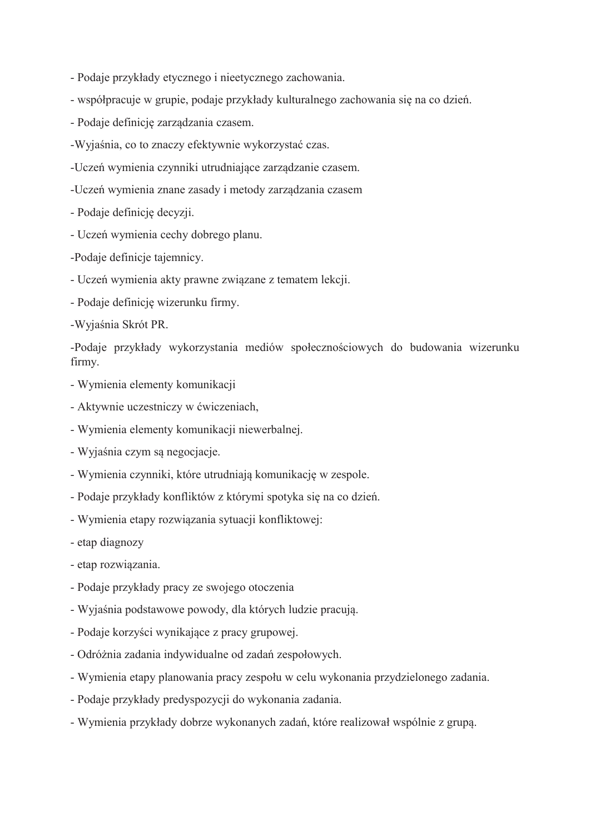- Podaje przykłady etycznego i nieetycznego zachowania.
- współpracuje w grupie, podaje przykłady kulturalnego zachowania się na co dzień.
- Podaje definicję zarządzania czasem.
- -Wyjaśnia, co to znaczy efektywnie wykorzystać czas.
- -Uczeń wymienia czynniki utrudniające zarządzanie czasem.
- -Uczeń wymienia znane zasady i metody zarządzania czasem
- Podaje definicję decyzji.
- Uczeń wymienia cechy dobrego planu.
- -Podaje definicje tajemnicy.
- Uczeń wymienia akty prawne związane z tematem lekcji.
- Podaje definicje wizerunku firmy.
- -Wyjaśnia Skrót PR.

-Podaje przykłady wykorzystania mediów społecznościowych do budowania wizerunku firmy.

- Wymienia elementy komunikacji
- Aktywnie uczestniczy w ćwiczeniach,
- Wymienia elementy komunikacji niewerbalnej.
- Wyjaśnia czym są negocjacje.
- Wymienia czynniki, które utrudniają komunikację w zespole.
- Podaje przykłady konfliktów z którymi spotyka się na co dzień.
- Wymienia etapy rozwiązania sytuacji konfliktowej:
- etap diagnozy
- etap rozwiązania.
- Podaje przykłady pracy ze swojego otoczenia
- Wyjaśnia podstawowe powody, dla których ludzie pracują.
- Podaje korzyści wynikające z pracy grupowej.
- Odróżnia zadania indywidualne od zadań zespołowych.
- Wymienia etapy planowania pracy zespołu w celu wykonania przydzielonego zadania.
- Podaje przykłady predyspozycji do wykonania zadania.
- Wymienia przykłady dobrze wykonanych zadań, które realizował wspólnie z grupą.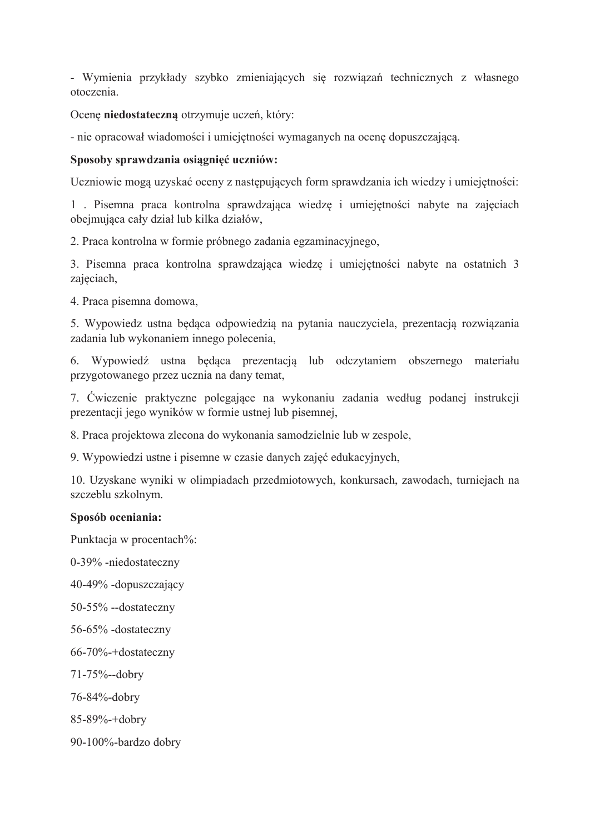- Wymienia przykłady szybko zmieniających się rozwiązań technicznych z własnego otoczenia.

Ocenę niedostateczną otrzymuje uczeń, który:

- nie opracował wiadomości i umiejetności wymaganych na ocene dopuszczająca.

### Sposoby sprawdzania osiągnięć uczniów:

Uczniowie mogą uzyskać oceny z następujących form sprawdzania ich wiedzy i umiejętności:

1. Pisemna praca kontrolna sprawdzająca wiedzę i umiejętności nabyte na zajęciach obejmująca cały dział lub kilka działów,

2. Praca kontrolna w formie próbnego zadania egzaminacyjnego,

3. Pisemna praca kontrolna sprawdzająca wiedzę i umiejętności nabyte na ostatnich 3 zajęciach,

4. Praca pisemna domowa,

5. Wypowiedz ustna będąca odpowiedzią na pytania nauczyciela, prezentacją rozwiązania zadania lub wykonaniem innego polecenia,

6. Wypowiedź ustna będąca prezentacją lub odczytaniem obszernego materiału przygotowanego przez ucznia na dany temat,

7. Ćwiczenie praktyczne polegające na wykonaniu zadania według podanej instrukcji prezentacji jego wyników w formie ustnej lub pisemnej,

8. Praca projektowa zlecona do wykonania samodzielnie lub w zespole,

9. Wypowiedzi ustne i pisemne w czasie danych zajęć edukacyjnych,

10. Uzyskane wyniki w olimpiadach przedmiotowych, konkursach, zawodach, turniejach na szczeblu szkolnym.

### Sposób oceniania:

Punktacja w procentach%:

0-39% -niedostateczny

40-49% -dopuszczający

50-55% --dostateczny

56-65% -dostateczny

 $66-70\% + \text{dostateczny}$ 

 $71 - 75% -$ -dobry

76-84%-dobry

85-89%-+dobry

90-100%-bardzo dobry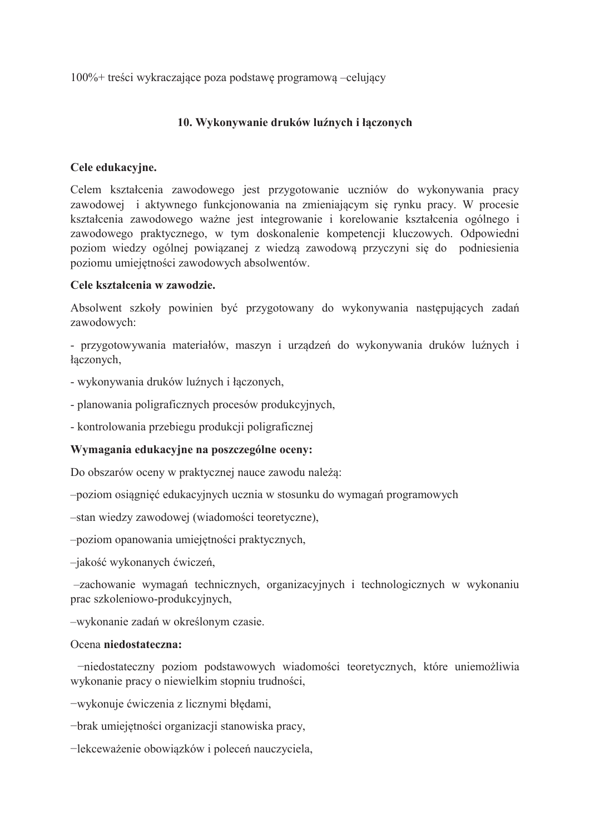$100\%$  + treści wykraczające poza podstawę programową –celujący

## 10. Wykonywanie druków luźnych i łączonych

## Cele edukacyjne.

Celem kształcenia zawodowego jest przygotowanie uczniów do wykonywania pracy zawodowej i aktywnego funkcjonowania na zmieniającym się rynku pracy. W procesie kształcenia zawodowego ważne jest integrowanie i korelowanie kształcenia ogólnego i zawodowego praktycznego, w tym doskonalenie kompetencji kluczowych. Odpowiedni poziom wiedzy ogólnej powiązanej z wiedzą zawodową przyczyni się do podniesienia poziomu umiejętności zawodowych absolwentów.

### Cele kształcenia w zawodzie.

Absolwent szkoły powinien być przygotowany do wykonywania następujących zadań zawodowych:

- przygotowywania materiałów, maszyn i urządzeń do wykonywania druków luźnych i łączonych,

- wykonywania druków luźnych i łączonych,

- planowania poligraficznych procesów produkcyjnych,

- kontrolowania przebiegu produkcji poligraficznej

## Wymagania edukacyjne na poszczególne oceny:

Do obszarów oceny w praktycznej nauce zawodu należą:

-poziom osiągnieć edukacyjnych ucznia w stosunku do wymagań programowych

-stan wiedzy zawodowej (wiadomości teoretyczne).

-poziom opanowania umiejętności praktycznych,

-jakość wykonanych ćwiczeń,

-zachowanie wymagań technicznych, organizacyjnych i technologicznych w wykonaniu prac szkoleniowo-produkcyjnych,

-wykonanie zadań w określonym czasie.

### Ocena niedostateczna:

-niedostateczny poziom podstawowych wiadomości teoretycznych, które uniemożliwia wykonanie pracy o niewielkim stopniu trudności,

-wykonuje ćwiczenia z licznymi błędami,

-brak umiejętności organizacji stanowiska pracy,

-lekceważenie obowiązków i poleceń nauczyciela,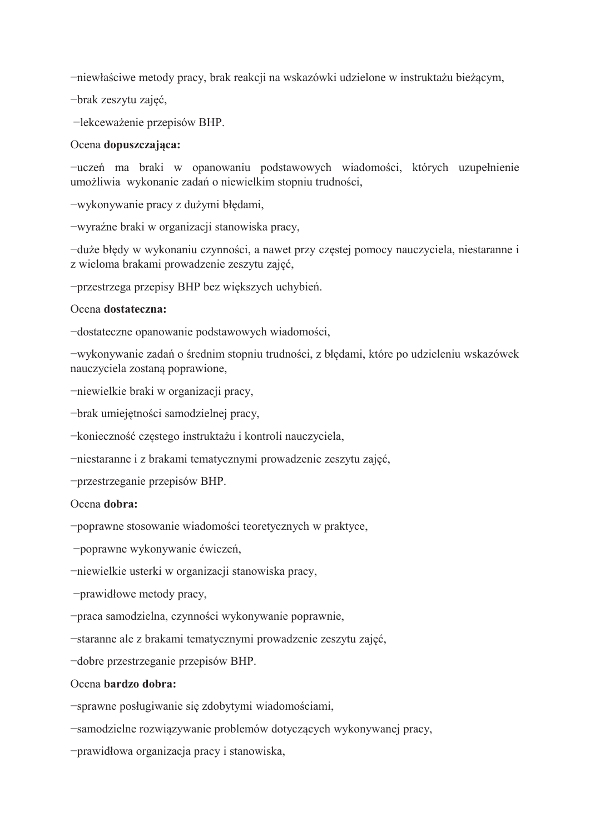-niewłaściwe metody pracy, brak reakcji na wskazówki udzielone w instruktażu bieżącym,

-brak zeszytu zajęć,

-lekceważenie przepisów BHP.

### Ocena dopuszczająca:

-uczeń ma braki w opanowaniu podstawowych wiadomości, których uzupełnienie umożliwia wykonanie zadań o niewielkim stopniu trudności,

-wykonywanie pracy z dużymi błedami,

-wyraźne braki w organizacji stanowiska pracy,

-duże błędy w wykonaniu czynności, a nawet przy częstej pomocy nauczyciela, niestaranne i z wieloma brakami prowadzenie zeszytu zajęć,

-przestrzega przepisy BHP bez większych uchybień.

### Ocena dostateczna:

-dostateczne opanowanie podstawowych wiadomości,

-wykonywanie zadań o średnim stopniu trudności, z błędami, które po udzieleniu wskazówek nauczyciela zostaną poprawione,

-niewielkie braki w organizacji pracy,

-brak umiejętności samodzielnej pracy,

-konieczność częstego instruktażu i kontroli nauczyciela,

-niestaranne i z brakami tematycznymi prowadzenie zeszytu zajęć,

-przestrzeganie przepisów BHP.

### Ocena dobra:

-poprawne stosowanie wiadomości teoretycznych w praktyce,

-poprawne wykonywanie ćwiczeń,

-niewielkie usterki w organizacji stanowiska pracy,

-prawidłowe metody pracy,

-praca samodzielna, czynności wykonywanie poprawnie,

-staranne ale z brakami tematycznymi prowadzenie zeszytu zajęć,

-dobre przestrzeganie przepisów BHP.

### Ocena bardzo dobra:

-sprawne posługiwanie się zdobytymi wiadomościami,

-samodzielne rozwiązywanie problemów dotyczących wykonywanej pracy,

-prawidłowa organizacja pracy i stanowiska,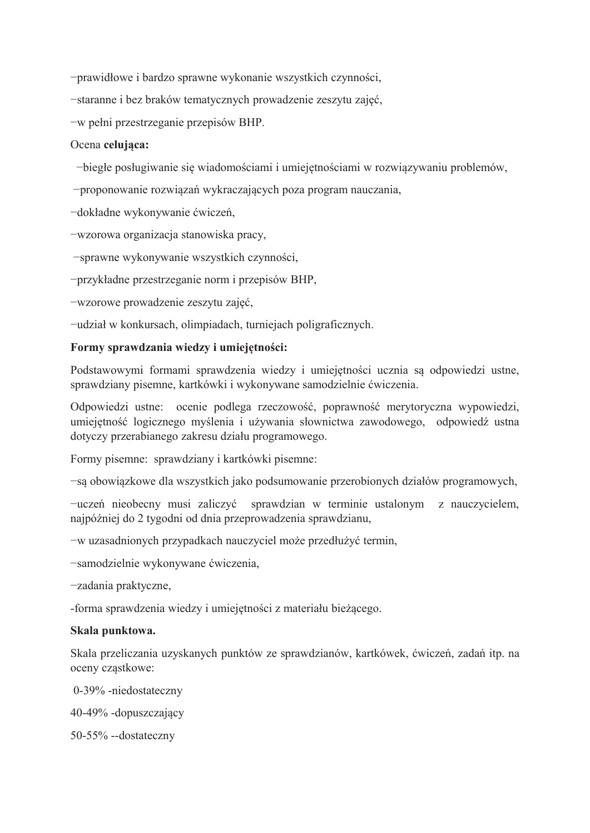-prawidłowe i bardzo sprawne wykonanie wszystkich czynności,

-staranne i bez braków tematycznych prowadzenie zeszytu zajęć,

-w pełni przestrzeganie przepisów BHP.

### Ocena celujaca:

-biegłe posługiwanie się wiadomościami i umiejętnościami w rozwiązywaniu problemów,

-proponowanie rozwiązań wykraczających poza program nauczania,

-dokładne wykonywanie ćwiczeń,

-wzorowa organizacja stanowiska pracy,

-sprawne wykonywanie wszystkich czynności,

-przykładne przestrzeganie norm i przepisów BHP,

-wzorowe prowadzenie zeszytu zajęć,

-udział w konkursach, olimpiadach, turniejach poligraficznych.

### Formy sprawdzania wiedzy i umiejętności:

Podstawowymi formami sprawdzenia wiedzy i umiejętności ucznia są odpowiedzi ustne, sprawdziany pisemne, kartkówki i wykonywane samodzielnie ćwiczenia.

Odpowiedzi ustne: ocenie podlega rzeczowość, poprawność merytoryczna wypowiedzi, umiejętność logicznego myślenia i używania słownictwa zawodowego, odpowiedź ustna dotyczy przerabianego zakresu działu programowego.

Formy pisemne: sprawdziany i kartkówki pisemne:

-są obowiązkowe dla wszystkich jako podsumowanie przerobionych działów programowych,

-uczeń nieobecny musi zaliczyć sprawdzian w terminie ustalonym z nauczycielem. najpóźniej do 2 tygodni od dnia przeprowadzenia sprawdzianu,

-w uzasadnionych przypadkach nauczyciel może przedłużyć termin,

-samodzielnie wykonywane ćwiczenia,

-zadania praktyczne,

-forma sprawdzenia wiedzy i umiejętności z materiału bieżącego.

### Skala punktowa.

Skala przeliczania uzyskanych punktów ze sprawdzianów, kartkówek, ćwiczeń, zadań itp. na oceny cząstkowe:

0-39% -niedostateczny

40-49% -dopuszczający

50-55% --dostateczny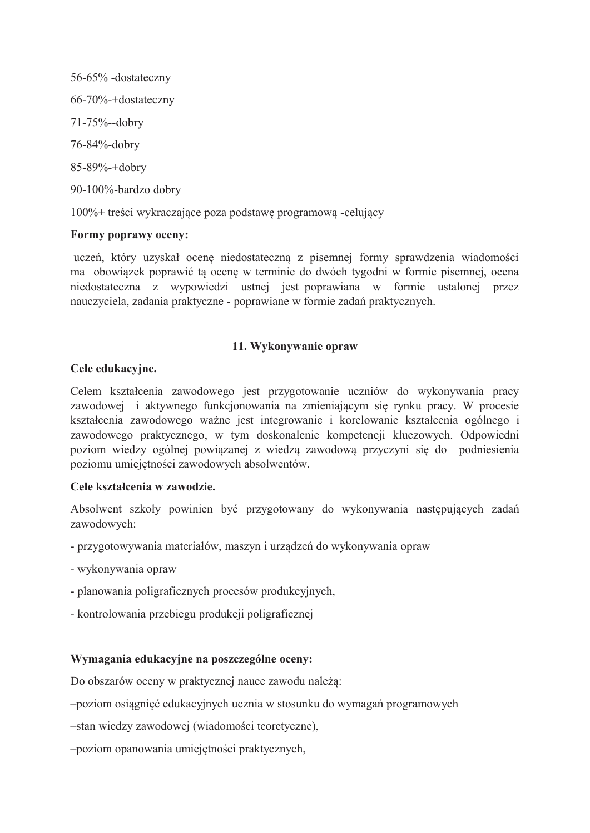56-65% -dostateczny 66-70%-+dostateczny 71-75%--dobry 76-84%-dobry 85-89%-+dobry 90-100%-bardzo dobry

100%+ treści wykraczające poza podstawę programową -celujący

## Formy poprawy oceny:

uczeń, który uzyskał ocenę niedostateczną z pisemnej formy sprawdzenia wiadomości ma obowiązek poprawić tą ocenę w terminie do dwóch tygodni w formie pisemnej, ocena niedostateczna z wypowiedzi ustnej jest poprawiana w formie ustalonej przez nauczyciela, zadania praktyczne - poprawiane w formie zadań praktycznych.

## 11. Wykonywanie opraw

## Cele edukacvine.

Celem kształcenia zawodowego jest przygotowanie uczniów do wykonywania pracy zawodowej i aktywnego funkcjonowania na zmieniającym się rynku pracy. W procesie kształcenia zawodowego ważne jest integrowanie i korelowanie kształcenia ogólnego i zawodowego praktycznego, w tym doskonalenie kompetencji kluczowych. Odpowiedni poziom wiedzy ogólnej powiazanej z wiedzą zawodowa przyczyni się do podniesienia poziomu umiejętności zawodowych absolwentów.

## Cele kształcenia w zawodzie.

Absolwent szkoły powinien być przygotowany do wykonywania następujących zadań zawodowych:

- przygotowywania materiałów, maszyn i urządzeń do wykonywania opraw
- wykonywania opraw
- planowania poligraficznych procesów produkcyjnych.
- kontrolowania przebiegu produkcji poligraficznej

# Wymagania edukacyjne na poszczególne oceny:

Do obszarów oceny w praktycznej nauce zawodu należą:

-poziom osiągnięć edukacyjnych ucznia w stosunku do wymagań programowych

-stan wiedzy zawodowej (wiadomości teoretyczne),

-poziom opanowania umiejętności praktycznych,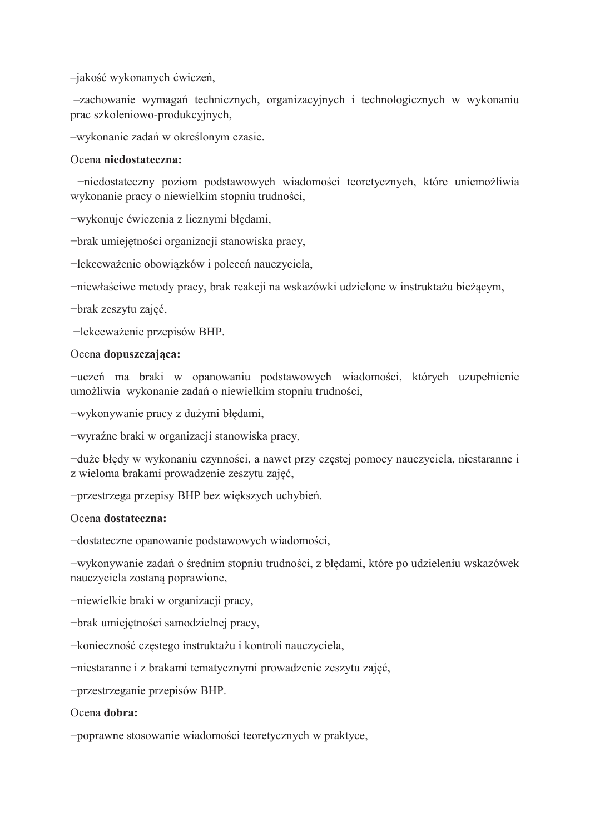-jakość wykonanych ćwiczeń,

-zachowanie wymagań technicznych, organizacyjnych i technologicznych w wykonaniu prac szkoleniowo-produkcyjnych,

-wykonanie zadań w określonym czasie.

### Ocena niedostateczna:

-niedostateczny poziom podstawowych wiadomości teoretycznych, które uniemożliwia wykonanie pracy o niewielkim stopniu trudności,

-wykonuje ćwiczenia z licznymi błędami,

-brak umiejętności organizacji stanowiska pracy,

-lekceważenie obowiązków i poleceń nauczyciela,

-niewłaściwe metody pracy, brak reakcji na wskazówki udzielone w instruktażu bieżącym,

-brak zeszytu zajęć,

-lekceważenie przepisów BHP.

### Ocena dopuszczająca:

-uczeń ma braki w opanowaniu podstawowych wiadomości, których uzupełnienie umożliwia wykonanie zadań o niewielkim stopniu trudności,

-wykonywanie pracy z dużymi błędami,

-wyraźne braki w organizacji stanowiska pracy,

-duże błędy w wykonaniu czynności, a nawet przy częstej pomocy nauczyciela, niestaranne i z wieloma brakami prowadzenie zeszytu zajęć,

-przestrzega przepisy BHP bez większych uchybień.

### Ocena dostateczna:

-dostateczne opanowanie podstawowych wiadomości,

-wykonywanie zadań o średnim stopniu trudności, z błędami, które po udzieleniu wskazówek nauczyciela zostaną poprawione,

-niewielkie braki w organizacji pracy,

-brak umiejętności samodzielnej pracy,

-konieczność częstego instruktażu i kontroli nauczyciela,

-niestaranne i z brakami tematycznymi prowadzenie zeszytu zajęć,

-przestrzeganie przepisów BHP.

### Ocena dobra:

-poprawne stosowanie wiadomości teoretycznych w praktyce,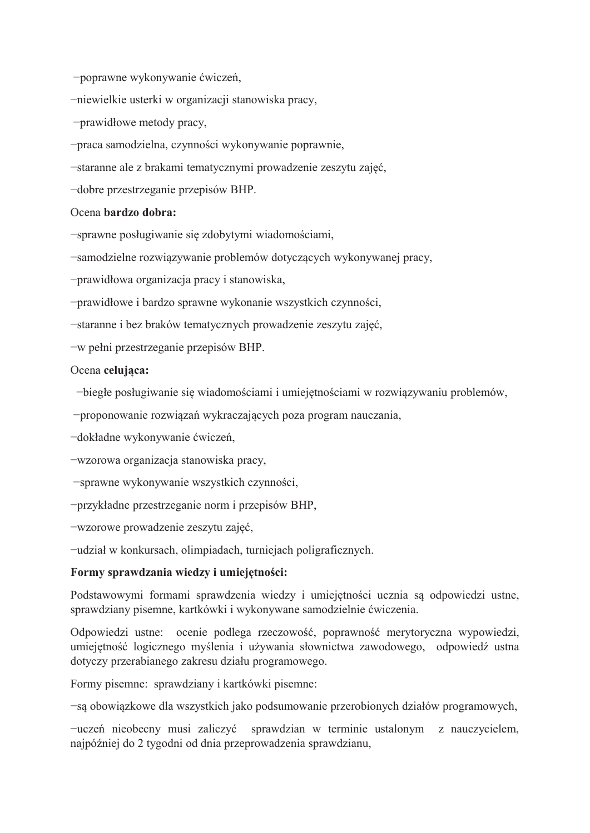-poprawne wykonywanie ćwiczeń,

-niewielkie usterki w organizacji stanowiska pracy,

-prawidłowe metody pracy,

-praca samodzielna, czynności wykonywanie poprawnie,

-staranne ale z brakami tematycznymi prowadzenie zeszytu zajęć,

-dobre przestrzeganie przepisów BHP.

### Ocena bardzo dobra:

-sprawne posługiwanie się zdobytymi wiadomościami,

-samodzielne rozwiązywanie problemów dotyczących wykonywanej pracy,

-prawidłowa organizacja pracy i stanowiska,

-prawidłowe i bardzo sprawne wykonanie wszystkich czynności,

-staranne i bez braków tematycznych prowadzenie zeszytu zajęć,

-w pełni przestrzeganie przepisów BHP.

### Ocena celujaca:

-biegłe posługiwanie się wiadomościami i umiejętnościami w rozwiązywaniu problemów,

-proponowanie rozwiązań wykraczających poza program nauczania,

-dokładne wykonywanie ćwiczeń,

-wzorowa organizacja stanowiska pracy,

-sprawne wykonywanie wszystkich czynności,

-przykładne przestrzeganie norm i przepisów BHP,

-wzorowe prowadzenie zeszytu zajęć,

-udział w konkursach, olimpiadach, turniejach poligraficznych.

## Formy sprawdzania wiedzy i umiejętności:

Podstawowymi formami sprawdzenia wiedzy i umiejętności ucznia są odpowiedzi ustne, sprawdziany pisemne, kartkówki i wykonywane samodzielnie ćwiczenia.

Odpowiedzi ustne: ocenie podlega rzeczowość, poprawność merytoryczna wypowiedzi, umiejetność logicznego myślenia i używania słownictwa zawodowego, odpowiedź ustna dotyczy przerabianego zakresu działu programowego.

Formy pisemne: sprawdziany i kartkówki pisemne:

-są obowiązkowe dla wszystkich jako podsumowanie przerobionych działów programowych,

-uczeń nieobecny musi zaliczyć sprawdzian w terminie ustalonym z nauczycielem, najpóźniej do 2 tygodni od dnia przeprowadzenia sprawdzianu,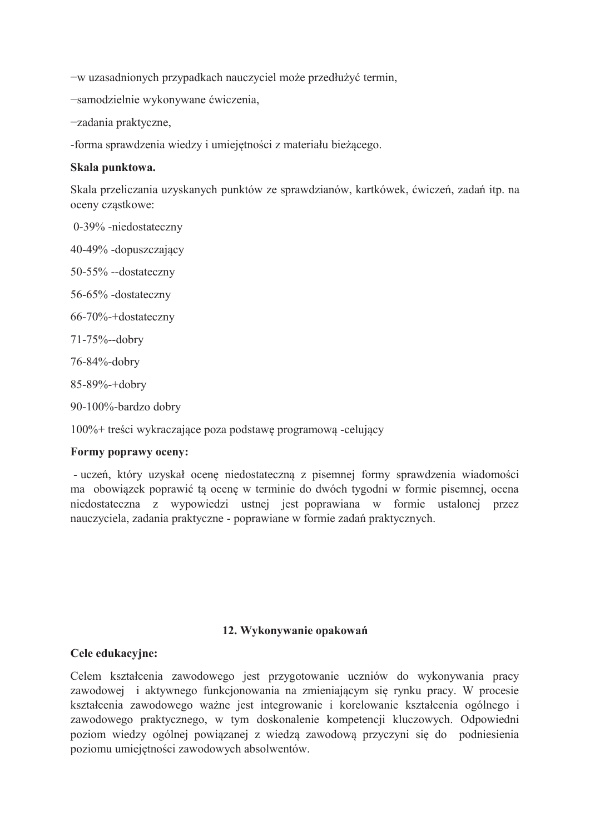-w uzasadnionych przypadkach nauczyciel może przedłużyć termin,

-samodzielnie wykonywane ćwiczenia,

-zadania praktyczne,

-forma sprawdzenia wiedzy i umiejętności z materiału bieżącego.

### Skala punktowa.

Skala przeliczania uzyskanych punktów ze sprawdzianów, kartkówek, ćwiczeń, zadań itp. na oceny czastkowe:

0-39% -niedostateczny

40-49% -dopuszczający

50-55% --dostateczny

56-65% -dostateczny

66-70%-+dostateczny

71-75%--dobry

76-84%-dobry

85-89%-+dobry

90-100%-bardzo dobry

 $100\%$ + treści wykraczające poza podstawe programowa -celujący

## Formy poprawy oceny:

- uczeń, który uzyskał ocenę niedostateczną z pisemnej formy sprawdzenia wiadomości ma obowiązek poprawić tą ocenę w terminie do dwóch tygodni w formie pisemnej, ocena niedostateczna z wypowiedzi ustnej jest poprawiana w formie ustalonej przez nauczyciela, zadania praktyczne - poprawiane w formie zadań praktycznych.

### 12. Wykonywanie opakowań

## Cele edukacyjne:

Celem kształcenia zawodowego jest przygotowanie uczniów do wykonywania pracy zawodowej i aktywnego funkcjonowania na zmieniającym się rynku pracy. W procesie kształcenia zawodowego ważne jest integrowanie i korelowanie kształcenia ogólnego i zawodowego praktycznego, w tym doskonalenie kompetencji kluczowych. Odpowiedni poziom wiedzy ogólnej powiązanej z wiedzą zawodową przyczyni się do podniesienia poziomu umiejętności zawodowych absolwentów.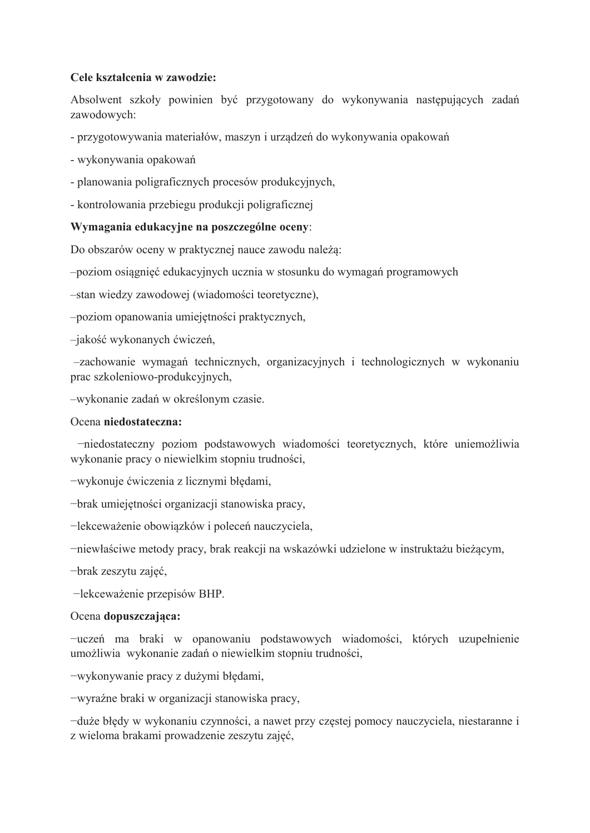## Cele kształcenia w zawodzie:

Absolwent szkoły powinien być przygotowany do wykonywania następujących zadań zawodowych:

- przygotowywania materiałów, maszyn i urządzeń do wykonywania opakowań

- wykonywania opakowań

- planowania poligraficznych procesów produkcyjnych,
- kontrolowania przebiegu produkcji poligraficznej

# Wymagania edukacyjne na poszczególne oceny:

Do obszarów oceny w praktycznej nauce zawodu należą:

-poziom osiągnięć edukacyjnych ucznia w stosunku do wymagań programowych

-stan wiedzy zawodowej (wiadomości teoretyczne),

-poziom opanowania umiejętności praktycznych,

-jakość wykonanych ćwiczeń,

-zachowanie wymagań technicznych, organizacyjnych i technologicznych w wykonaniu prac szkoleniowo-produkcyjnych,

-wykonanie zadań w określonym czasie.

### Ocena niedostateczna:

-niedostateczny poziom podstawowych wiadomości teoretycznych, które uniemożliwia wykonanie pracy o niewielkim stopniu trudności,

-wykonuje ćwiczenia z licznymi błędami,

-brak umiejetności organizacji stanowiska pracy,

-lekceważenie obowiązków i poleceń nauczyciela,

-niewłaściwe metody pracy, brak reakcji na wskazówki udzielone w instruktażu bieżącym,

-brak zeszytu zajęć,

-lekceważenie przepisów BHP.

## Ocena dopuszczająca:

-uczeń ma braki w opanowaniu podstawowych wiadomości, których uzupełnienie umożliwia wykonanie zadań o niewielkim stopniu trudności,

-wykonywanie pracy z dużymi błędami,

-wyraźne braki w organizacji stanowiska pracy,

-duże błedy w wykonaniu czynności, a nawet przy częstej pomocy nauczyciela, niestaranne i z wieloma brakami prowadzenie zeszytu zajęć,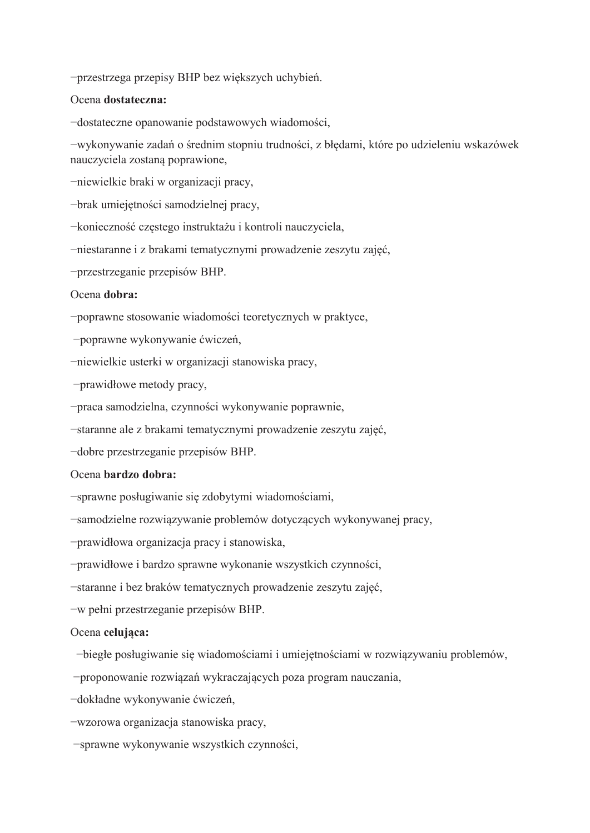-przestrzega przepisy BHP bez większych uchybień.

#### Ocena dostateczna:

-dostateczne opanowanie podstawowych wiadomości,

-wykonywanie zadań o średnim stopniu trudności, z błędami, które po udzieleniu wskazówek nauczyciela zostaną poprawione,

-niewielkie braki w organizacji pracy,

-brak umiejętności samodzielnej pracy,

-konieczność częstego instruktażu i kontroli nauczyciela,

-niestaranne i z brakami tematycznymi prowadzenie zeszytu zajęć,

-przestrzeganie przepisów BHP.

#### Ocena dobra:

-poprawne stosowanie wiadomości teoretycznych w praktyce,

-poprawne wykonywanie ćwiczeń,

-niewielkie usterki w organizacji stanowiska pracy,

-prawidłowe metody pracy,

-praca samodzielna, czynności wykonywanie poprawnie,

-staranne ale z brakami tematycznymi prowadzenie zeszytu zajęć,

-dobre przestrzeganie przepisów BHP.

### Ocena bardzo dobra:

-sprawne posługiwanie się zdobytymi wiadomościami,

-samodzielne rozwiązywanie problemów dotyczących wykonywanej pracy,

-prawidłowa organizacja pracy i stanowiska,

-prawidłowe i bardzo sprawne wykonanie wszystkich czynności,

-staranne i bez braków tematycznych prowadzenie zeszytu zajęć,

-w pełni przestrzeganie przepisów BHP.

#### Ocena celujaca:

-biegłe posługiwanie się wiadomościami i umiejętnościami w rozwiązywaniu problemów,

-proponowanie rozwiązań wykraczających poza program nauczania,

-dokładne wykonywanie ćwiczeń,

-wzorowa organizacja stanowiska pracy,

-sprawne wykonywanie wszystkich czynności,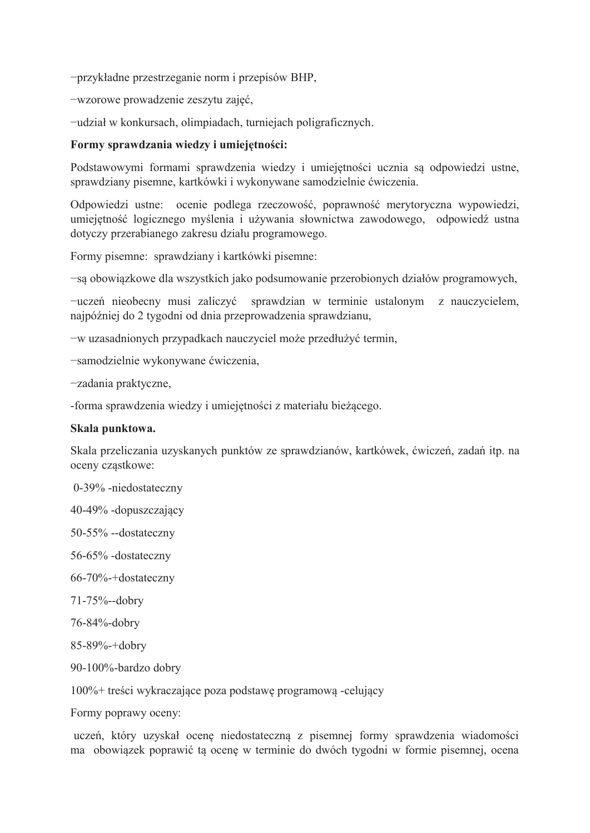-przykładne przestrzeganie norm i przepisów BHP,

-wzorowe prowadzenie zeszytu zajęć,

-udział w konkursach, olimpiadach, turniejach poligraficznych.

### Formy sprawdzania wiedzy i umiejętności:

Podstawowymi formami sprawdzenia wiedzy i umiejętności ucznia są odpowiedzi ustne, sprawdziany pisemne, kartkówki i wykonywane samodzielnie ćwiczenia.

Odpowiedzi ustne: ocenie podlega rzeczowość, poprawność merytoryczna wypowiedzi, umiejętność logicznego myślenia i używania słownictwa zawodowego, odpowiedź ustna dotyczy przerabianego zakresu działu programowego.

Formy pisemne: sprawdziany i kartkówki pisemne:

-są obowiązkowe dla wszystkich jako podsumowanie przerobionych działów programowych,

-uczeń nieobecny musi zaliczyć sprawdzian w terminie ustalonym z nauczycielem, najpóźniej do 2 tygodni od dnia przeprowadzenia sprawdzianu,

-w uzasadnionych przypadkach nauczyciel może przedłużyć termin,

-samodzielnie wykonywane ćwiczenia,

-zadania praktyczne,

-forma sprawdzenia wiedzy i umiejętności z materiału bieżącego.

### Skala punktowa.

Skala przeliczania uzyskanych punktów ze sprawdzianów, kartkówek, ćwiczeń, zadań itp. na oceny cząstkowe:

0-39% -niedostateczny

40-49% -dopuszczający

50-55% --dostateczny

56-65% -dostateczny

66-70%-+dostateczny

71-75%--dobry

76-84%-dobry

85-89%-+dobry

90-100%-bardzo dobry

 $100\%$  + treści wykraczające poza podstawę programowa -celujący

Formy poprawy oceny:

uczeń, który uzyskał ocenę niedostateczną z pisemnej formy sprawdzenia wiadomości ma obowiązek poprawić tą ocenę w terminie do dwóch tygodni w formie pisemnej, ocena